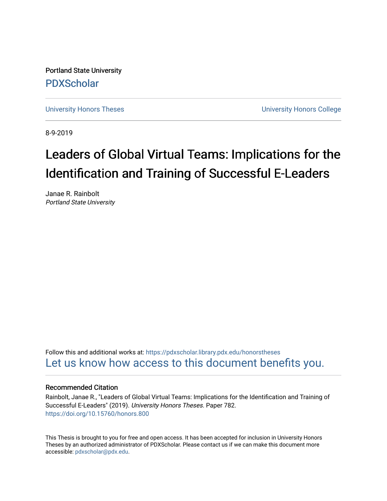Portland State University [PDXScholar](https://pdxscholar.library.pdx.edu/)

[University Honors Theses](https://pdxscholar.library.pdx.edu/honorstheses) [University Honors College](https://pdxscholar.library.pdx.edu/honors) 

8-9-2019

# Leaders of Global Virtual Teams: Implications for the Identification and Training of Successful E-Leaders

Janae R. Rainbolt Portland State University

Follow this and additional works at: [https://pdxscholar.library.pdx.edu/honorstheses](https://pdxscholar.library.pdx.edu/honorstheses?utm_source=pdxscholar.library.pdx.edu%2Fhonorstheses%2F782&utm_medium=PDF&utm_campaign=PDFCoverPages)  [Let us know how access to this document benefits you.](http://library.pdx.edu/services/pdxscholar-services/pdxscholar-feedback/) 

# Recommended Citation

Rainbolt, Janae R., "Leaders of Global Virtual Teams: Implications for the Identification and Training of Successful E-Leaders" (2019). University Honors Theses. Paper 782. <https://doi.org/10.15760/honors.800>

This Thesis is brought to you for free and open access. It has been accepted for inclusion in University Honors Theses by an authorized administrator of PDXScholar. Please contact us if we can make this document more accessible: [pdxscholar@pdx.edu.](mailto:pdxscholar@pdx.edu)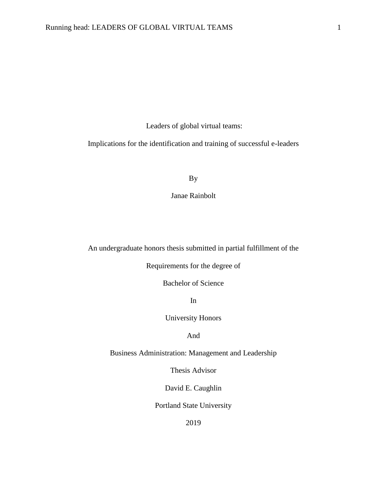Leaders of global virtual teams:

Implications for the identification and training of successful e-leaders

By

Janae Rainbolt

An undergraduate honors thesis submitted in partial fulfillment of the

Requirements for the degree of

Bachelor of Science

In

University Honors

And

Business Administration: Management and Leadership

Thesis Advisor

David E. Caughlin

Portland State University

2019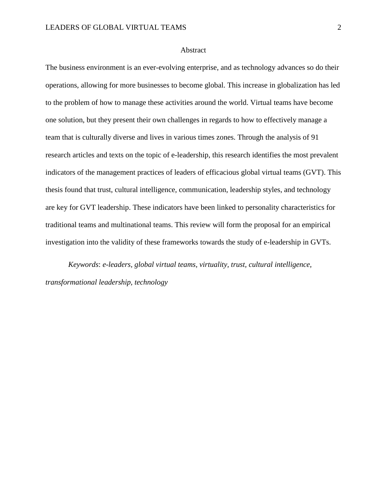#### Abstract

The business environment is an ever-evolving enterprise, and as technology advances so do their operations, allowing for more businesses to become global. This increase in globalization has led to the problem of how to manage these activities around the world. Virtual teams have become one solution, but they present their own challenges in regards to how to effectively manage a team that is culturally diverse and lives in various times zones. Through the analysis of 91 research articles and texts on the topic of e-leadership, this research identifies the most prevalent indicators of the management practices of leaders of efficacious global virtual teams (GVT). This thesis found that trust, cultural intelligence, communication, leadership styles, and technology are key for GVT leadership. These indicators have been linked to personality characteristics for traditional teams and multinational teams. This review will form the proposal for an empirical investigation into the validity of these frameworks towards the study of e-leadership in GVTs.

*Keywords*: *e-leaders, global virtual teams, virtuality, trust, cultural intelligence, transformational leadership, technology*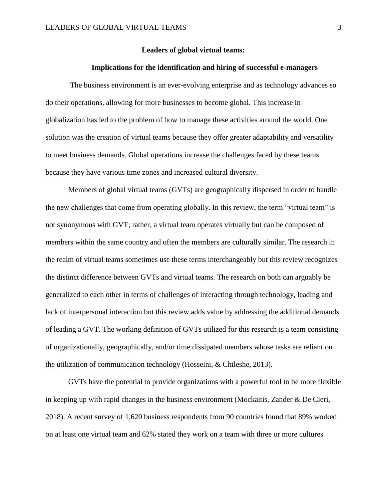# **Leaders of global virtual teams:**

#### **Implications for the identification and hiring of successful e-managers**

The business environment is an ever-evolving enterprise and as technology advances so do their operations, allowing for more businesses to become global. This increase in globalization has led to the problem of how to manage these activities around the world. One solution was the creation of virtual teams because they offer greater adaptability and versatility to meet business demands. Global operations increase the challenges faced by these teams because they have various time zones and increased cultural diversity.

Members of global virtual teams (GVTs) are geographically dispersed in order to handle the new challenges that come from operating globally. In this review, the term "virtual team" is not synonymous with GVT; rather, a virtual team operates virtually but can be composed of members within the same country and often the members are culturally similar. The research in the realm of virtual teams sometimes use these terms interchangeably but this review recognizes the distinct difference between GVTs and virtual teams. The research on both can arguably be generalized to each other in terms of challenges of interacting through technology, leading and lack of interpersonal interaction but this review adds value by addressing the additional demands of leading a GVT. The working definition of GVTs utilized for this research is a team consisting of organizationally, geographically, and/or time dissipated members whose tasks are reliant on the utilization of communication technology (Hosseini, & Chileshe, 2013).

GVTs have the potential to provide organizations with a powerful tool to be more flexible in keeping up with rapid changes in the business environment (Mockaitis, Zander & De Cieri, 2018). A recent survey of 1,620 business respondents from 90 countries found that 89% worked on at least one virtual team and 62% stated they work on a team with three or more cultures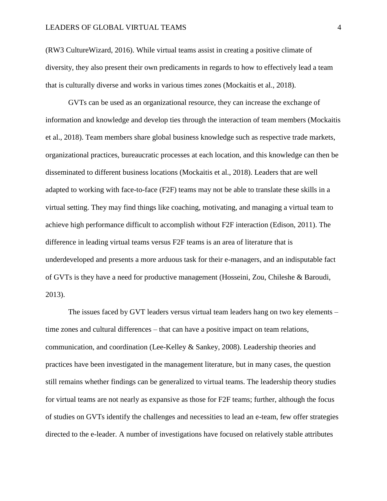# LEADERS OF GLOBAL VIRTUAL TEAMS 4

(RW3 CultureWizard, 2016). While virtual teams assist in creating a positive climate of diversity, they also present their own predicaments in regards to how to effectively lead a team that is culturally diverse and works in various times zones (Mockaitis et al., 2018).

GVTs can be used as an organizational resource, they can increase the exchange of information and knowledge and develop ties through the interaction of team members (Mockaitis et al., 2018). Team members share global business knowledge such as respective trade markets, organizational practices, bureaucratic processes at each location, and this knowledge can then be disseminated to different business locations (Mockaitis et al., 2018). Leaders that are well adapted to working with face-to-face (F2F) teams may not be able to translate these skills in a virtual setting. They may find things like coaching, motivating, and managing a virtual team to achieve high performance difficult to accomplish without F2F interaction (Edison, 2011). The difference in leading virtual teams versus F2F teams is an area of literature that is underdeveloped and presents a more arduous task for their e-managers, and an indisputable fact of GVTs is they have a need for productive management (Hosseini, Zou, Chileshe & Baroudi, 2013).

The issues faced by GVT leaders versus virtual team leaders hang on two key elements – time zones and cultural differences – that can have a positive impact on team relations, communication, and coordination (Lee-Kelley & Sankey, 2008). Leadership theories and practices have been investigated in the management literature, but in many cases, the question still remains whether findings can be generalized to virtual teams. The leadership theory studies for virtual teams are not nearly as expansive as those for F2F teams; further, although the focus of studies on GVTs identify the challenges and necessities to lead an e-team, few offer strategies directed to the e-leader. A number of investigations have focused on relatively stable attributes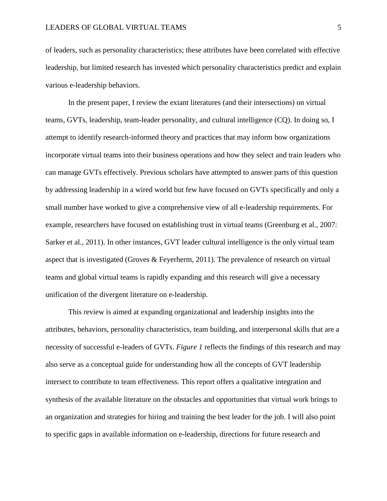of leaders, such as personality characteristics; these attributes have been correlated with effective leadership, but limited research has invested which personality characteristics predict and explain various e-leadership behaviors.

In the present paper, I review the extant literatures (and their intersections) on virtual teams, GVTs, leadership, team-leader personality, and cultural intelligence (CQ). In doing so, I attempt to identify research-informed theory and practices that may inform how organizations incorporate virtual teams into their business operations and how they select and train leaders who can manage GVTs effectively. Previous scholars have attempted to answer parts of this question by addressing leadership in a wired world but few have focused on GVTs specifically and only a small number have worked to give a comprehensive view of all e-leadership requirements. For example, researchers have focused on establishing trust in virtual teams (Greenburg et al., 2007: Sarker et al., 2011). In other instances, GVT leader cultural intelligence is the only virtual team aspect that is investigated (Groves & Feyerherm, 2011). The prevalence of research on virtual teams and global virtual teams is rapidly expanding and this research will give a necessary unification of the divergent literature on e-leadership.

This review is aimed at expanding organizational and leadership insights into the attributes, behaviors, personality characteristics, team building, and interpersonal skills that are a necessity of successful e-leaders of GVTs. *Figure 1* reflects the findings of this research and may also serve as a conceptual guide for understanding how all the concepts of GVT leadership intersect to contribute to team effectiveness. This report offers a qualitative integration and synthesis of the available literature on the obstacles and opportunities that virtual work brings to an organization and strategies for hiring and training the best leader for the job. I will also point to specific gaps in available information on e-leadership, directions for future research and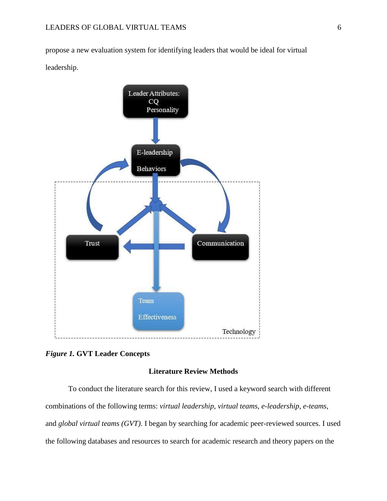propose a new evaluation system for identifying leaders that would be ideal for virtual leadership.





# **Literature Review Methods**

To conduct the literature search for this review, I used a keyword search with different combinations of the following terms: *virtual leadership*, *virtual teams*, *e-leadership*, *e-teams*, and *global virtual teams (GVT)*. I began by searching for academic peer-reviewed sources. I used the following databases and resources to search for academic research and theory papers on the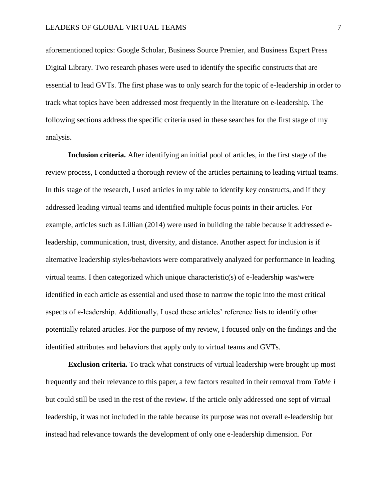aforementioned topics: Google Scholar, Business Source Premier, and Business Expert Press Digital Library. Two research phases were used to identify the specific constructs that are essential to lead GVTs. The first phase was to only search for the topic of e-leadership in order to track what topics have been addressed most frequently in the literature on e-leadership. The following sections address the specific criteria used in these searches for the first stage of my analysis.

**Inclusion criteria.** After identifying an initial pool of articles, in the first stage of the review process, I conducted a thorough review of the articles pertaining to leading virtual teams. In this stage of the research, I used articles in my table to identify key constructs, and if they addressed leading virtual teams and identified multiple focus points in their articles. For example, articles such as Lillian (2014) were used in building the table because it addressed eleadership, communication, trust, diversity, and distance. Another aspect for inclusion is if alternative leadership styles/behaviors were comparatively analyzed for performance in leading virtual teams. I then categorized which unique characteristic(s) of e-leadership was/were identified in each article as essential and used those to narrow the topic into the most critical aspects of e-leadership. Additionally, I used these articles' reference lists to identify other potentially related articles. For the purpose of my review, I focused only on the findings and the identified attributes and behaviors that apply only to virtual teams and GVTs.

**Exclusion criteria.** To track what constructs of virtual leadership were brought up most frequently and their relevance to this paper, a few factors resulted in their removal from *Table 1* but could still be used in the rest of the review. If the article only addressed one sept of virtual leadership, it was not included in the table because its purpose was not overall e-leadership but instead had relevance towards the development of only one e-leadership dimension. For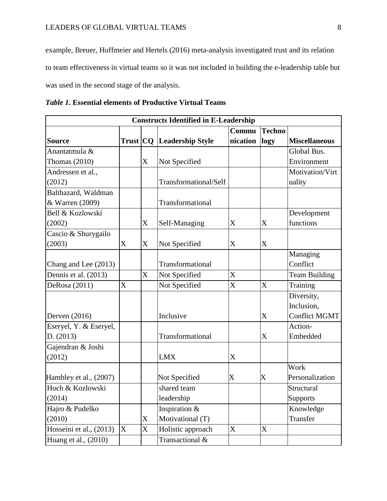example, Breuer, Huffmeier and Hertels (2016) meta-analysis investigated trust and its relation to team effectiveness in virtual teams so it was not included in building the e-leadership table but was used in the second stage of the analysis.

| <b>Constructs Identified in E-Leadership</b> |                |                  |                         |                         |               |                      |
|----------------------------------------------|----------------|------------------|-------------------------|-------------------------|---------------|----------------------|
|                                              |                |                  |                         | Commu                   | <b>Techno</b> |                      |
| <b>Source</b>                                | Trust CQ       |                  | <b>Leadership Style</b> | nication                | logy          | <b>Miscellaneous</b> |
| Anantatmula &                                |                |                  |                         |                         |               | Global Bus.          |
| Thomas $(2010)$                              |                | $\boldsymbol{X}$ | Not Specified           |                         |               | Environment          |
| Andressen et al.,                            |                |                  |                         |                         |               | Motivation/Virt      |
| (2012)                                       |                |                  | Transformational/Self   |                         |               | uality               |
| Balthazard, Waldman                          |                |                  |                         |                         |               |                      |
| & Warren (2009)                              |                |                  | Transformational        |                         |               |                      |
| Bell & Kozlowski                             |                |                  |                         |                         |               | Development          |
| (2002)                                       |                | X                | Self-Managing           | X                       | X             | functions            |
| Cascio & Shurygailo                          |                |                  |                         |                         |               |                      |
| (2003)                                       | X              | X                | Not Specified           | X                       | X             |                      |
|                                              |                |                  |                         |                         |               | Managing             |
| Chang and Lee (2013)                         |                |                  | Transformational        |                         |               | Conflict             |
| Dennis et al. (2013)                         |                | X                | Not Specified           | X                       |               | <b>Team Building</b> |
| DeRosa (2011)                                | $\overline{X}$ |                  | Not Specified           | X                       | X             | Training             |
|                                              |                |                  |                         |                         |               | Diversity,           |
|                                              |                |                  |                         |                         |               | Inclusion,           |
| Derven (2016)                                |                |                  | Inclusive               |                         | X             | <b>Conflict MGMT</b> |
| Eseryel, Y. & Eseryel,                       |                |                  |                         |                         |               | Action-              |
| D. (2013)                                    |                |                  | Transformational        |                         | X             | Embedded             |
| Gajendran & Joshi                            |                |                  |                         |                         |               |                      |
| (2012)                                       |                |                  | <b>LMX</b>              | X                       |               |                      |
|                                              |                |                  |                         |                         |               | Work                 |
| Hambley et al., (2007)                       |                |                  | Not Specified           | $\overline{\mathrm{X}}$ | $\mathbf X$   | Personalization      |
| Hoch & Kozlowski                             |                |                  | shared team             |                         |               | Structural           |
| (2014)                                       |                |                  | leadership              |                         |               | Supports             |
| Hajro & Pudelko                              |                |                  | Inspiration &           |                         |               | Knowledge            |
| (2010)                                       |                | X                | Motivational (T)        |                         |               | Transfer             |
| Hosseini et al., (2013)                      | X              | X                | Holistic approach       | X                       | X             |                      |
| Huang et al., (2010)                         |                |                  | Transactional &         |                         |               |                      |

| <i>Table 1.</i> Essential elements of Productive Virtual Teams |  |  |  |
|----------------------------------------------------------------|--|--|--|
|----------------------------------------------------------------|--|--|--|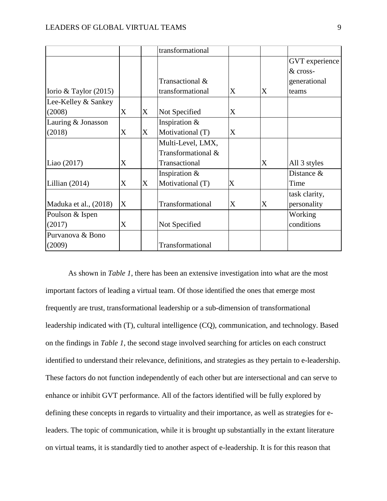|                         |   |                   | transformational   |   |   |                |
|-------------------------|---|-------------------|--------------------|---|---|----------------|
|                         |   |                   |                    |   |   | GVT experience |
|                         |   |                   |                    |   |   | & cross-       |
|                         |   |                   | Transactional &    |   |   | generational   |
| Iorio & Taylor $(2015)$ |   |                   | transformational   | X | X | teams          |
| Lee-Kelley & Sankey     |   |                   |                    |   |   |                |
| (2008)                  | X | X                 | Not Specified      | X |   |                |
| Lauring & Jonasson      |   |                   | Inspiration $\&$   |   |   |                |
| (2018)                  | X | $X_{\mathcal{L}}$ | Motivational (T)   | X |   |                |
|                         |   |                   | Multi-Level, LMX,  |   |   |                |
|                         |   |                   | Transformational & |   |   |                |
| Liao (2017)             | X |                   | Transactional      |   | X | All 3 styles   |
|                         |   |                   | Inspiration $&$    |   |   | Distance &     |
| Lillian $(2014)$        | X | X                 | Motivational (T)   | X |   | Time           |
|                         |   |                   |                    |   |   | task clarity,  |
| Maduka et al., (2018)   | X |                   | Transformational   | X | X | personality    |
| Poulson & Ispen         |   |                   |                    |   |   | Working        |
| (2017)                  | X |                   | Not Specified      |   |   | conditions     |
| Purvanova & Bono        |   |                   |                    |   |   |                |
| (2009)                  |   |                   | Transformational   |   |   |                |

As shown in *Table 1*, there has been an extensive investigation into what are the most important factors of leading a virtual team. Of those identified the ones that emerge most frequently are trust, transformational leadership or a sub-dimension of transformational leadership indicated with (T), cultural intelligence (CQ), communication, and technology. Based on the findings in *Table 1*, the second stage involved searching for articles on each construct identified to understand their relevance, definitions, and strategies as they pertain to e-leadership. These factors do not function independently of each other but are intersectional and can serve to enhance or inhibit GVT performance. All of the factors identified will be fully explored by defining these concepts in regards to virtuality and their importance, as well as strategies for eleaders. The topic of communication, while it is brought up substantially in the extant literature on virtual teams, it is standardly tied to another aspect of e-leadership. It is for this reason that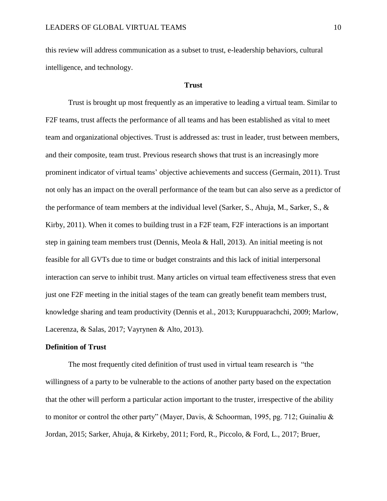this review will address communication as a subset to trust, e-leadership behaviors, cultural intelligence, and technology.

#### **Trust**

Trust is brought up most frequently as an imperative to leading a virtual team. Similar to F2F teams, trust affects the performance of all teams and has been established as vital to meet team and organizational objectives. Trust is addressed as: trust in leader, trust between members, and their composite, team trust. Previous research shows that trust is an increasingly more prominent indicator of virtual teams' objective achievements and success (Germain, 2011). Trust not only has an impact on the overall performance of the team but can also serve as a predictor of the performance of team members at the individual level (Sarker, S., Ahuja, M., Sarker, S., & Kirby, 2011). When it comes to building trust in a F2F team, F2F interactions is an important step in gaining team members trust (Dennis, Meola & Hall, 2013). An initial meeting is not feasible for all GVTs due to time or budget constraints and this lack of initial interpersonal interaction can serve to inhibit trust. Many articles on virtual team effectiveness stress that even just one F2F meeting in the initial stages of the team can greatly benefit team members trust, knowledge sharing and team productivity (Dennis et al., 2013; Kuruppuarachchi, 2009; Marlow, Lacerenza, & Salas, 2017; Vayrynen & Alto, 2013).

## **Definition of Trust**

The most frequently cited definition of trust used in virtual team research is "the willingness of a party to be vulnerable to the actions of another party based on the expectation that the other will perform a particular action important to the truster, irrespective of the ability to monitor or control the other party" (Mayer, Davis, & Schoorman, 1995, pg. 712; Guinaliu & Jordan, 2015; Sarker, Ahuja, & Kirkeby, 2011; Ford, R., Piccolo, & Ford, L., 2017; Bruer,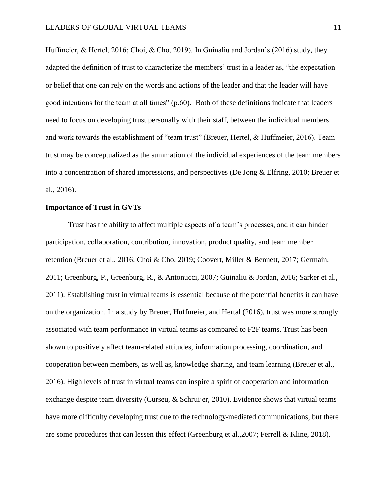Huffmeier, & Hertel, 2016; Choi, & Cho, 2019). In Guinaliu and Jordan's (2016) study, they adapted the definition of trust to characterize the members' trust in a leader as, "the expectation or belief that one can rely on the words and actions of the leader and that the leader will have good intentions for the team at all times" (p.60). Both of these definitions indicate that leaders need to focus on developing trust personally with their staff, between the individual members and work towards the establishment of "team trust" (Breuer, Hertel, & Huffmeier, 2016). Team trust may be conceptualized as the summation of the individual experiences of the team members into a concentration of shared impressions, and perspectives (De Jong & Elfring, 2010; Breuer et al., 2016).

# **Importance of Trust in GVTs**

Trust has the ability to affect multiple aspects of a team's processes, and it can hinder participation, collaboration, contribution, innovation, product quality, and team member retention (Breuer et al., 2016; Choi & Cho, 2019; Coovert, Miller & Bennett, 2017; Germain, 2011; Greenburg, P., Greenburg, R., & Antonucci, 2007; Guinaliu & Jordan, 2016; Sarker et al., 2011). Establishing trust in virtual teams is essential because of the potential benefits it can have on the organization. In a study by Breuer, Huffmeier, and Hertal (2016), trust was more strongly associated with team performance in virtual teams as compared to F2F teams. Trust has been shown to positively affect team-related attitudes, information processing, coordination, and cooperation between members, as well as, knowledge sharing, and team learning (Breuer et al., 2016). High levels of trust in virtual teams can inspire a spirit of cooperation and information exchange despite team diversity (Curseu, & Schruijer, 2010). Evidence shows that virtual teams have more difficulty developing trust due to the technology-mediated communications, but there are some procedures that can lessen this effect (Greenburg et al.,2007; Ferrell & Kline, 2018).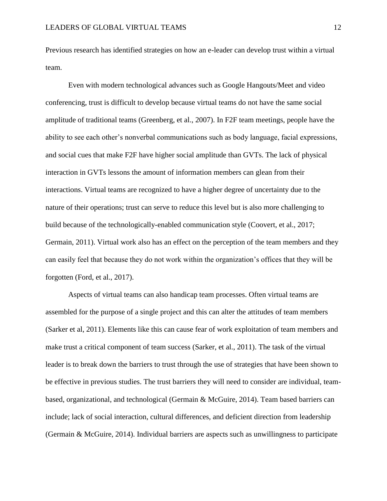Previous research has identified strategies on how an e-leader can develop trust within a virtual team.

Even with modern technological advances such as Google Hangouts/Meet and video conferencing, trust is difficult to develop because virtual teams do not have the same social amplitude of traditional teams (Greenberg, et al., 2007). In F2F team meetings, people have the ability to see each other's nonverbal communications such as body language, facial expressions, and social cues that make F2F have higher social amplitude than GVTs. The lack of physical interaction in GVTs lessons the amount of information members can glean from their interactions. Virtual teams are recognized to have a higher degree of uncertainty due to the nature of their operations; trust can serve to reduce this level but is also more challenging to build because of the technologically-enabled communication style (Coovert, et al., 2017; Germain, 2011). Virtual work also has an effect on the perception of the team members and they can easily feel that because they do not work within the organization's offices that they will be forgotten (Ford, et al., 2017).

Aspects of virtual teams can also handicap team processes. Often virtual teams are assembled for the purpose of a single project and this can alter the attitudes of team members (Sarker et al, 2011). Elements like this can cause fear of work exploitation of team members and make trust a critical component of team success (Sarker, et al., 2011). The task of the virtual leader is to break down the barriers to trust through the use of strategies that have been shown to be effective in previous studies. The trust barriers they will need to consider are individual, teambased, organizational, and technological (Germain & McGuire, 2014). Team based barriers can include; lack of social interaction, cultural differences, and deficient direction from leadership (Germain & McGuire, 2014). Individual barriers are aspects such as unwillingness to participate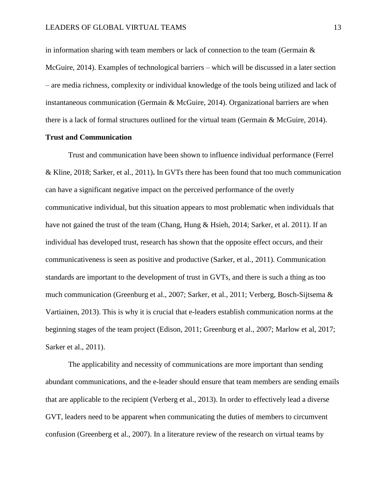in information sharing with team members or lack of connection to the team (Germain  $\&$ McGuire, 2014). Examples of technological barriers – which will be discussed in a later section – are media richness, complexity or individual knowledge of the tools being utilized and lack of instantaneous communication (Germain & McGuire, 2014). Organizational barriers are when there is a lack of formal structures outlined for the virtual team (Germain & McGuire, 2014).

# **Trust and Communication**

Trust and communication have been shown to influence individual performance (Ferrel & Kline, 2018; Sarker, et al., 2011)**.** In GVTs there has been found that too much communication can have a significant negative impact on the perceived performance of the overly communicative individual, but this situation appears to most problematic when individuals that have not gained the trust of the team (Chang, Hung & Hsieh, 2014; Sarker, et al. 2011). If an individual has developed trust, research has shown that the opposite effect occurs, and their communicativeness is seen as positive and productive (Sarker, et al., 2011). Communication standards are important to the development of trust in GVTs, and there is such a thing as too much communication (Greenburg et al., 2007; Sarker, et al., 2011; Verberg, Bosch-Sijtsema & Vartiainen, 2013). This is why it is crucial that e-leaders establish communication norms at the beginning stages of the team project (Edison, 2011; Greenburg et al., 2007; Marlow et al, 2017; Sarker et al., 2011).

The applicability and necessity of communications are more important than sending abundant communications, and the e-leader should ensure that team members are sending emails that are applicable to the recipient (Verberg et al., 2013). In order to effectively lead a diverse GVT, leaders need to be apparent when communicating the duties of members to circumvent confusion (Greenberg et al., 2007). In a literature review of the research on virtual teams by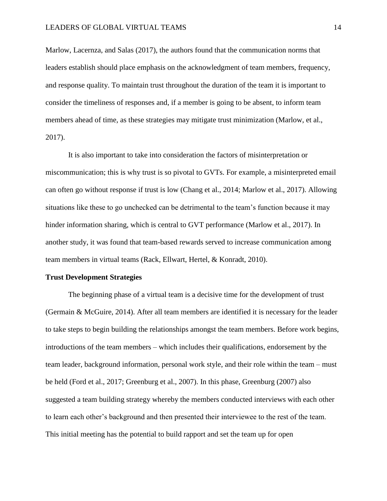Marlow, Lacernza, and Salas (2017), the authors found that the communication norms that leaders establish should place emphasis on the acknowledgment of team members, frequency, and response quality. To maintain trust throughout the duration of the team it is important to consider the timeliness of responses and, if a member is going to be absent, to inform team members ahead of time, as these strategies may mitigate trust minimization (Marlow, et al., 2017).

It is also important to take into consideration the factors of misinterpretation or miscommunication; this is why trust is so pivotal to GVTs. For example, a misinterpreted email can often go without response if trust is low (Chang et al., 2014; Marlow et al., 2017). Allowing situations like these to go unchecked can be detrimental to the team's function because it may hinder information sharing, which is central to GVT performance (Marlow et al., 2017). In another study, it was found that team-based rewards served to increase communication among team members in virtual teams (Rack, Ellwart, Hertel, & Konradt, 2010).

#### **Trust Development Strategies**

The beginning phase of a virtual team is a decisive time for the development of trust (Germain & McGuire, 2014). After all team members are identified it is necessary for the leader to take steps to begin building the relationships amongst the team members. Before work begins, introductions of the team members – which includes their qualifications, endorsement by the team leader, background information, personal work style, and their role within the team – must be held (Ford et al., 2017; Greenburg et al., 2007). In this phase, Greenburg (2007) also suggested a team building strategy whereby the members conducted interviews with each other to learn each other's background and then presented their interviewee to the rest of the team. This initial meeting has the potential to build rapport and set the team up for open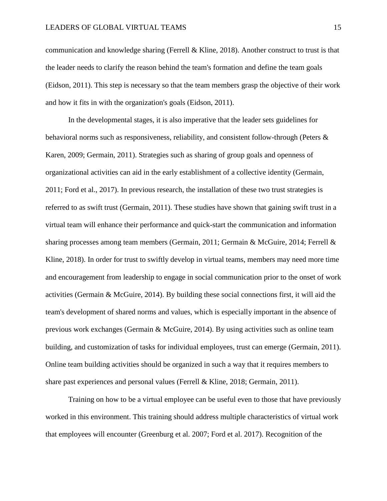communication and knowledge sharing (Ferrell & Kline, 2018). Another construct to trust is that the leader needs to clarify the reason behind the team's formation and define the team goals (Eidson, 2011). This step is necessary so that the team members grasp the objective of their work and how it fits in with the organization's goals (Eidson, 2011).

In the developmental stages, it is also imperative that the leader sets guidelines for behavioral norms such as responsiveness, reliability, and consistent follow-through (Peters & Karen, 2009; Germain, 2011). Strategies such as sharing of group goals and openness of organizational activities can aid in the early establishment of a collective identity (Germain, 2011; Ford et al., 2017). In previous research, the installation of these two trust strategies is referred to as swift trust (Germain, 2011). These studies have shown that gaining swift trust in a virtual team will enhance their performance and quick-start the communication and information sharing processes among team members (Germain, 2011; Germain & McGuire, 2014; Ferrell & Kline, 2018). In order for trust to swiftly develop in virtual teams, members may need more time and encouragement from leadership to engage in social communication prior to the onset of work activities (Germain & McGuire, 2014). By building these social connections first, it will aid the team's development of shared norms and values, which is especially important in the absence of previous work exchanges (Germain & McGuire, 2014). By using activities such as online team building, and customization of tasks for individual employees, trust can emerge (Germain, 2011). Online team building activities should be organized in such a way that it requires members to share past experiences and personal values (Ferrell & Kline, 2018; Germain, 2011).

Training on how to be a virtual employee can be useful even to those that have previously worked in this environment. This training should address multiple characteristics of virtual work that employees will encounter (Greenburg et al. 2007; Ford et al. 2017). Recognition of the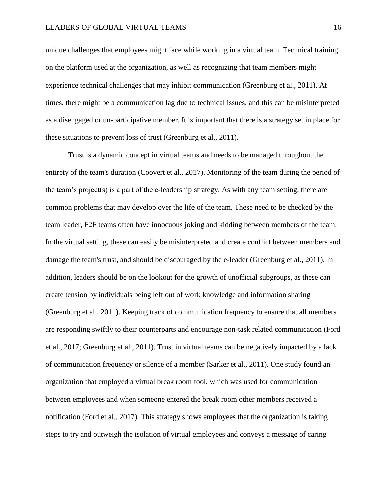unique challenges that employees might face while working in a virtual team. Technical training on the platform used at the organization, as well as recognizing that team members might experience technical challenges that may inhibit communication (Greenburg et al., 2011). At times, there might be a communication lag due to technical issues, and this can be misinterpreted as a disengaged or un-participative member. It is important that there is a strategy set in place for these situations to prevent loss of trust (Greenburg et al., 2011).

Trust is a dynamic concept in virtual teams and needs to be managed throughout the entirety of the team's duration (Coovert et al., 2017). Monitoring of the team during the period of the team's project(s) is a part of the e-leadership strategy. As with any team setting, there are common problems that may develop over the life of the team. These need to be checked by the team leader, F2F teams often have innocuous joking and kidding between members of the team. In the virtual setting, these can easily be misinterpreted and create conflict between members and damage the team's trust, and should be discouraged by the e-leader (Greenburg et al., 2011). In addition, leaders should be on the lookout for the growth of unofficial subgroups, as these can create tension by individuals being left out of work knowledge and information sharing (Greenburg et al., 2011). Keeping track of communication frequency to ensure that all members are responding swiftly to their counterparts and encourage non-task related communication (Ford et al., 2017; Greenburg et al., 2011). Trust in virtual teams can be negatively impacted by a lack of communication frequency or silence of a member (Sarker et al., 2011). One study found an organization that employed a virtual break room tool, which was used for communication between employees and when someone entered the break room other members received a notification (Ford et al., 2017). This strategy shows employees that the organization is taking steps to try and outweigh the isolation of virtual employees and conveys a message of caring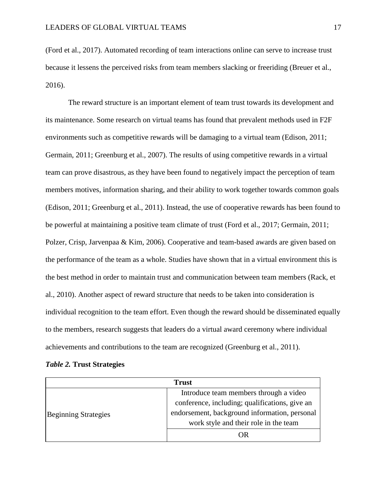(Ford et al., 2017). Automated recording of team interactions online can serve to increase trust because it lessens the perceived risks from team members slacking or freeriding (Breuer et al., 2016).

The reward structure is an important element of team trust towards its development and its maintenance. Some research on virtual teams has found that prevalent methods used in F2F environments such as competitive rewards will be damaging to a virtual team (Edison, 2011; Germain, 2011; Greenburg et al., 2007). The results of using competitive rewards in a virtual team can prove disastrous, as they have been found to negatively impact the perception of team members motives, information sharing, and their ability to work together towards common goals (Edison, 2011; Greenburg et al., 2011). Instead, the use of cooperative rewards has been found to be powerful at maintaining a positive team climate of trust (Ford et al., 2017; Germain, 2011; Polzer, Crisp, Jarvenpaa & Kim, 2006). Cooperative and team-based awards are given based on the performance of the team as a whole. Studies have shown that in a virtual environment this is the best method in order to maintain trust and communication between team members (Rack, et al., 2010). Another aspect of reward structure that needs to be taken into consideration is individual recognition to the team effort. Even though the reward should be disseminated equally to the members, research suggests that leaders do a virtual award ceremony where individual achievements and contributions to the team are recognized (Greenburg et al., 2011).

| <b>Table 2. Trust Strategies</b> |  |
|----------------------------------|--|
|----------------------------------|--|

| <b>Trust</b>                |                                                |  |  |  |
|-----------------------------|------------------------------------------------|--|--|--|
|                             | Introduce team members through a video         |  |  |  |
|                             | conference, including; qualifications, give an |  |  |  |
| <b>Beginning Strategies</b> | endorsement, background information, personal  |  |  |  |
|                             | work style and their role in the team          |  |  |  |
|                             | DR.                                            |  |  |  |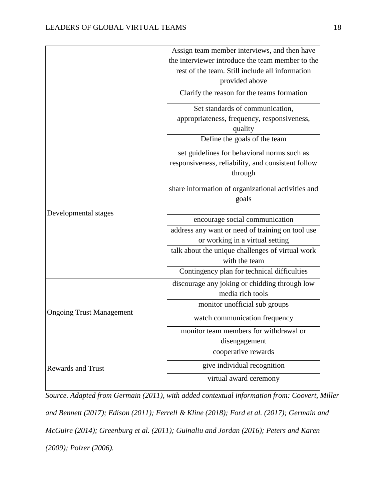|                                 | Assign team member interviews, and then have                                                      |  |  |  |
|---------------------------------|---------------------------------------------------------------------------------------------------|--|--|--|
|                                 | the interviewer introduce the team member to the                                                  |  |  |  |
|                                 | rest of the team. Still include all information                                                   |  |  |  |
|                                 | provided above                                                                                    |  |  |  |
|                                 | Clarify the reason for the teams formation                                                        |  |  |  |
|                                 | Set standards of communication,                                                                   |  |  |  |
|                                 | appropriateness, frequency, responsiveness,                                                       |  |  |  |
|                                 | quality                                                                                           |  |  |  |
|                                 | Define the goals of the team                                                                      |  |  |  |
|                                 | set guidelines for behavioral norms such as<br>responsiveness, reliability, and consistent follow |  |  |  |
|                                 | through                                                                                           |  |  |  |
|                                 | share information of organizational activities and<br>goals                                       |  |  |  |
| Developmental stages            | encourage social communication                                                                    |  |  |  |
|                                 | address any want or need of training on tool use                                                  |  |  |  |
|                                 | or working in a virtual setting                                                                   |  |  |  |
|                                 | talk about the unique challenges of virtual work                                                  |  |  |  |
|                                 | with the team                                                                                     |  |  |  |
|                                 | Contingency plan for technical difficulties                                                       |  |  |  |
|                                 | discourage any joking or chidding through low                                                     |  |  |  |
|                                 | media rich tools                                                                                  |  |  |  |
|                                 | monitor unofficial sub groups                                                                     |  |  |  |
| <b>Ongoing Trust Management</b> | watch communication frequency                                                                     |  |  |  |
|                                 | monitor team members for withdrawal or                                                            |  |  |  |
|                                 | disengagement                                                                                     |  |  |  |
|                                 | cooperative rewards                                                                               |  |  |  |
| <b>Rewards and Trust</b>        | give individual recognition                                                                       |  |  |  |
|                                 | virtual award ceremony                                                                            |  |  |  |

*Source. Adapted from Germain (2011), with added contextual information from: Coovert, Miller and Bennett (2017); Edison (2011); Ferrell & Kline (2018); Ford et al. (2017); Germain and McGuire (2014); Greenburg et al. (2011); Guinaliu and Jordan (2016); Peters and Karen (2009); Polzer (2006).*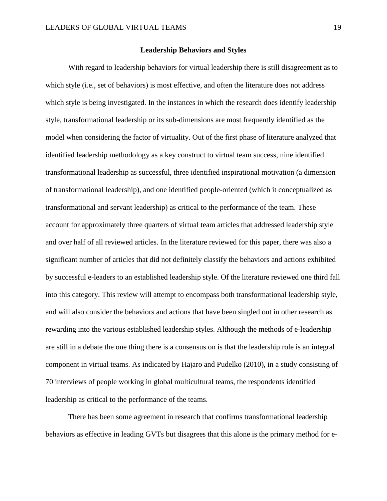#### **Leadership Behaviors and Styles**

With regard to leadership behaviors for virtual leadership there is still disagreement as to which style (i.e., set of behaviors) is most effective, and often the literature does not address which style is being investigated. In the instances in which the research does identify leadership style, transformational leadership or its sub-dimensions are most frequently identified as the model when considering the factor of virtuality. Out of the first phase of literature analyzed that identified leadership methodology as a key construct to virtual team success, nine identified transformational leadership as successful, three identified inspirational motivation (a dimension of transformational leadership), and one identified people-oriented (which it conceptualized as transformational and servant leadership) as critical to the performance of the team. These account for approximately three quarters of virtual team articles that addressed leadership style and over half of all reviewed articles. In the literature reviewed for this paper, there was also a significant number of articles that did not definitely classify the behaviors and actions exhibited by successful e-leaders to an established leadership style. Of the literature reviewed one third fall into this category. This review will attempt to encompass both transformational leadership style, and will also consider the behaviors and actions that have been singled out in other research as rewarding into the various established leadership styles. Although the methods of e-leadership are still in a debate the one thing there is a consensus on is that the leadership role is an integral component in virtual teams. As indicated by Hajaro and Pudelko (2010), in a study consisting of 70 interviews of people working in global multicultural teams, the respondents identified leadership as critical to the performance of the teams.

There has been some agreement in research that confirms transformational leadership behaviors as effective in leading GVTs but disagrees that this alone is the primary method for e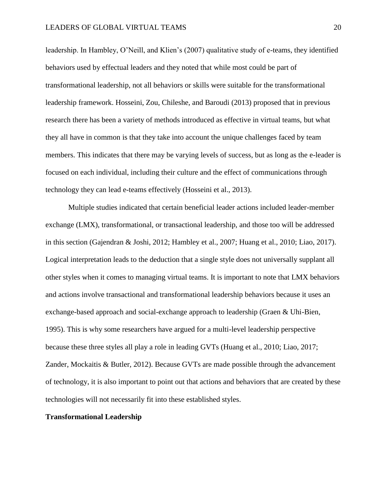leadership. In Hambley, O'Neill, and Klien's (2007) qualitative study of e-teams, they identified behaviors used by effectual leaders and they noted that while most could be part of transformational leadership, not all behaviors or skills were suitable for the transformational leadership framework. Hosseini, Zou, Chileshe, and Baroudi (2013) proposed that in previous research there has been a variety of methods introduced as effective in virtual teams, but what they all have in common is that they take into account the unique challenges faced by team members. This indicates that there may be varying levels of success, but as long as the e-leader is focused on each individual, including their culture and the effect of communications through technology they can lead e-teams effectively (Hosseini et al., 2013).

Multiple studies indicated that certain beneficial leader actions included leader-member exchange (LMX), transformational, or transactional leadership, and those too will be addressed in this section (Gajendran & Joshi, 2012; Hambley et al., 2007; Huang et al., 2010; Liao, 2017). Logical interpretation leads to the deduction that a single style does not universally supplant all other styles when it comes to managing virtual teams. It is important to note that LMX behaviors and actions involve transactional and transformational leadership behaviors because it uses an exchange-based approach and social-exchange approach to leadership (Graen & Uhi-Bien, 1995). This is why some researchers have argued for a multi-level leadership perspective because these three styles all play a role in leading GVTs (Huang et al., 2010; Liao, 2017; Zander, Mockaitis & Butler, 2012). Because GVTs are made possible through the advancement of technology, it is also important to point out that actions and behaviors that are created by these technologies will not necessarily fit into these established styles.

### **Transformational Leadership**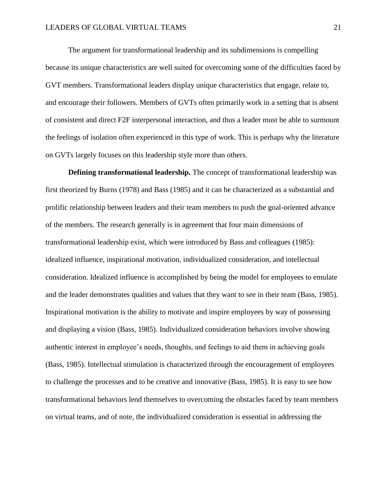The argument for transformational leadership and its subdimensions is compelling because its unique characteristics are well suited for overcoming some of the difficulties faced by GVT members. Transformational leaders display unique characteristics that engage, relate to, and encourage their followers. Members of GVTs often primarily work in a setting that is absent of consistent and direct F2F interpersonal interaction, and thus a leader must be able to surmount the feelings of isolation often experienced in this type of work. This is perhaps why the literature on GVTs largely focuses on this leadership style more than others.

**Defining transformational leadership.** The concept of transformational leadership was first theorized by Burns (1978) and Bass (1985) and it can be characterized as a substantial and prolific relationship between leaders and their team members to push the goal-oriented advance of the members. The research generally is in agreement that four main dimensions of transformational leadership exist, which were introduced by Bass and colleagues (1985): idealized influence, inspirational motivation, individualized consideration, and intellectual consideration. Idealized influence is accomplished by being the model for employees to emulate and the leader demonstrates qualities and values that they want to see in their team (Bass, 1985). Inspirational motivation is the ability to motivate and inspire employees by way of possessing and displaying a vision (Bass, 1985). Individualized consideration behaviors involve showing authentic interest in employee's needs, thoughts, and feelings to aid them in achieving goals (Bass, 1985). Intellectual stimulation is characterized through the encouragement of employees to challenge the processes and to be creative and innovative (Bass, 1985). It is easy to see how transformational behaviors lend themselves to overcoming the obstacles faced by team members on virtual teams, and of note, the individualized consideration is essential in addressing the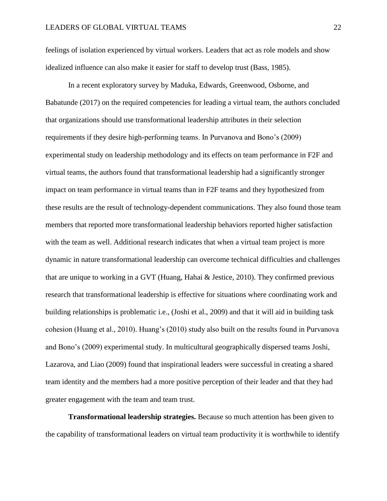feelings of isolation experienced by virtual workers. Leaders that act as role models and show idealized influence can also make it easier for staff to develop trust (Bass, 1985).

In a recent exploratory survey by Maduka, Edwards, Greenwood, Osborne, and Babatunde (2017) on the required competencies for leading a virtual team, the authors concluded that organizations should use transformational leadership attributes in their selection requirements if they desire high-performing teams. In Purvanova and Bono's (2009) experimental study on leadership methodology and its effects on team performance in F2F and virtual teams, the authors found that transformational leadership had a significantly stronger impact on team performance in virtual teams than in F2F teams and they hypothesized from these results are the result of technology-dependent communications. They also found those team members that reported more transformational leadership behaviors reported higher satisfaction with the team as well. Additional research indicates that when a virtual team project is more dynamic in nature transformational leadership can overcome technical difficulties and challenges that are unique to working in a GVT (Huang, Hahai & Jestice, 2010). They confirmed previous research that transformational leadership is effective for situations where coordinating work and building relationships is problematic i.e., (Joshi et al., 2009) and that it will aid in building task cohesion (Huang et al., 2010). Huang's (2010) study also built on the results found in Purvanova and Bono's (2009) experimental study. In multicultural geographically dispersed teams Joshi, Lazarova, and Liao (2009) found that inspirational leaders were successful in creating a shared team identity and the members had a more positive perception of their leader and that they had greater engagement with the team and team trust.

**Transformational leadership strategies.** Because so much attention has been given to the capability of transformational leaders on virtual team productivity it is worthwhile to identify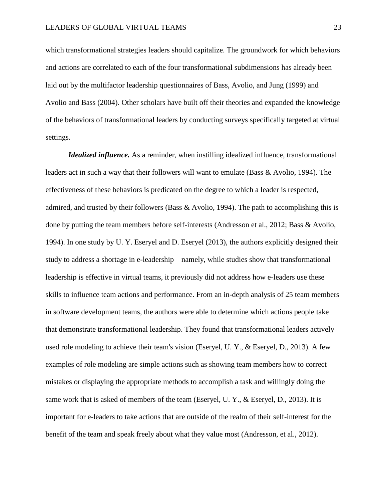which transformational strategies leaders should capitalize. The groundwork for which behaviors and actions are correlated to each of the four transformational subdimensions has already been laid out by the multifactor leadership questionnaires of Bass, Avolio, and Jung (1999) and Avolio and Bass (2004). Other scholars have built off their theories and expanded the knowledge of the behaviors of transformational leaders by conducting surveys specifically targeted at virtual settings.

*Idealized influence*. As a reminder, when instilling idealized influence, transformational leaders act in such a way that their followers will want to emulate (Bass & Avolio, 1994). The effectiveness of these behaviors is predicated on the degree to which a leader is respected, admired, and trusted by their followers (Bass & Avolio, 1994). The path to accomplishing this is done by putting the team members before self-interests (Andresson et al., 2012; Bass & Avolio, 1994). In one study by U. Y. Eseryel and D. Eseryel (2013), the authors explicitly designed their study to address a shortage in e-leadership – namely, while studies show that transformational leadership is effective in virtual teams, it previously did not address how e-leaders use these skills to influence team actions and performance. From an in-depth analysis of 25 team members in software development teams, the authors were able to determine which actions people take that demonstrate transformational leadership. They found that transformational leaders actively used role modeling to achieve their team's vision (Eseryel, U. Y., & Eseryel, D., 2013). A few examples of role modeling are simple actions such as showing team members how to correct mistakes or displaying the appropriate methods to accomplish a task and willingly doing the same work that is asked of members of the team (Eseryel, U. Y., & Eseryel, D., 2013). It is important for e-leaders to take actions that are outside of the realm of their self-interest for the benefit of the team and speak freely about what they value most (Andresson, et al., 2012).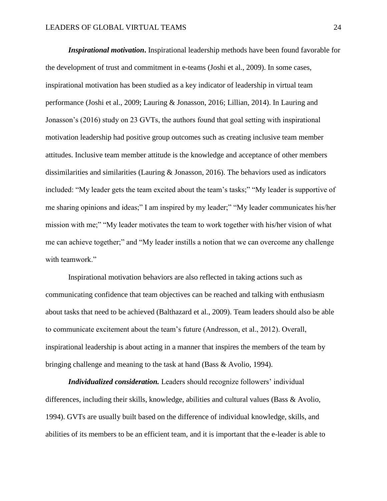*Inspirational motivation***.** Inspirational leadership methods have been found favorable for the development of trust and commitment in e-teams (Joshi et al., 2009). In some cases, inspirational motivation has been studied as a key indicator of leadership in virtual team performance (Joshi et al., 2009; Lauring & Jonasson, 2016; Lillian, 2014). In Lauring and Jonasson's (2016) study on 23 GVTs, the authors found that goal setting with inspirational motivation leadership had positive group outcomes such as creating inclusive team member attitudes. Inclusive team member attitude is the knowledge and acceptance of other members dissimilarities and similarities (Lauring & Jonasson, 2016). The behaviors used as indicators included: "My leader gets the team excited about the team's tasks;" "My leader is supportive of me sharing opinions and ideas;" I am inspired by my leader;" "My leader communicates his/her mission with me;" "My leader motivates the team to work together with his/her vision of what me can achieve together;" and "My leader instills a notion that we can overcome any challenge with teamwork."

Inspirational motivation behaviors are also reflected in taking actions such as communicating confidence that team objectives can be reached and talking with enthusiasm about tasks that need to be achieved (Balthazard et al., 2009). Team leaders should also be able to communicate excitement about the team's future (Andresson, et al., 2012). Overall, inspirational leadership is about acting in a manner that inspires the members of the team by bringing challenge and meaning to the task at hand (Bass & Avolio, 1994).

*Individualized consideration.* Leaders should recognize followers' individual differences, including their skills, knowledge, abilities and cultural values (Bass & Avolio, 1994). GVTs are usually built based on the difference of individual knowledge, skills, and abilities of its members to be an efficient team, and it is important that the e-leader is able to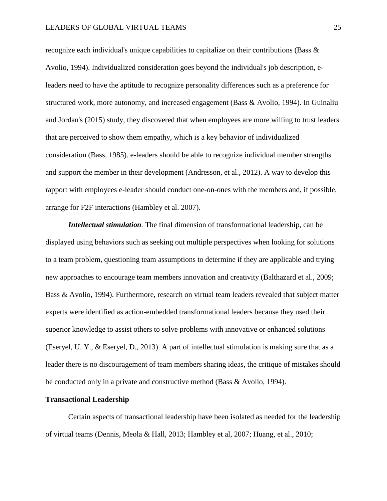# LEADERS OF GLOBAL VIRTUAL TEAMS 25

recognize each individual's unique capabilities to capitalize on their contributions (Bass & Avolio, 1994). Individualized consideration goes beyond the individual's job description, eleaders need to have the aptitude to recognize personality differences such as a preference for structured work, more autonomy, and increased engagement (Bass & Avolio, 1994). In Guinaliu and Jordan's (2015) study, they discovered that when employees are more willing to trust leaders that are perceived to show them empathy, which is a key behavior of individualized consideration (Bass, 1985). e-leaders should be able to recognize individual member strengths and support the member in their development (Andresson, et al., 2012). A way to develop this rapport with employees e-leader should conduct one-on-ones with the members and, if possible, arrange for F2F interactions (Hambley et al. 2007).

*Intellectual stimulation.* The final dimension of transformational leadership, can be displayed using behaviors such as seeking out multiple perspectives when looking for solutions to a team problem, questioning team assumptions to determine if they are applicable and trying new approaches to encourage team members innovation and creativity (Balthazard et al., 2009; Bass & Avolio, 1994). Furthermore, research on virtual team leaders revealed that subject matter experts were identified as action-embedded transformational leaders because they used their superior knowledge to assist others to solve problems with innovative or enhanced solutions (Eseryel, U. Y., & Eseryel, D., 2013). A part of intellectual stimulation is making sure that as a leader there is no discouragement of team members sharing ideas, the critique of mistakes should be conducted only in a private and constructive method (Bass & Avolio, 1994).

#### **Transactional Leadership**

Certain aspects of transactional leadership have been isolated as needed for the leadership of virtual teams (Dennis, Meola & Hall, 2013; Hambley et al, 2007; Huang, et al., 2010;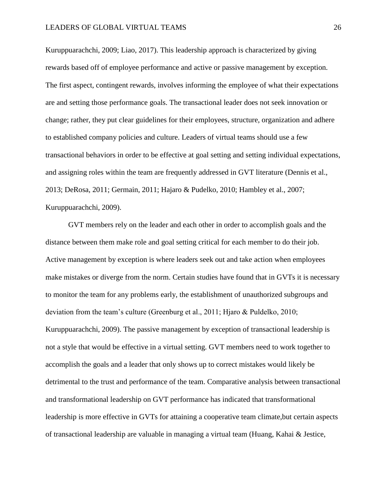Kuruppuarachchi, 2009; Liao, 2017). This leadership approach is characterized by giving rewards based off of employee performance and active or passive management by exception. The first aspect, contingent rewards, involves informing the employee of what their expectations are and setting those performance goals. The transactional leader does not seek innovation or change; rather, they put clear guidelines for their employees, structure, organization and adhere to established company policies and culture. Leaders of virtual teams should use a few transactional behaviors in order to be effective at goal setting and setting individual expectations, and assigning roles within the team are frequently addressed in GVT literature (Dennis et al., 2013; DeRosa, 2011; Germain, 2011; Hajaro & Pudelko, 2010; Hambley et al., 2007; Kuruppuarachchi, 2009).

GVT members rely on the leader and each other in order to accomplish goals and the distance between them make role and goal setting critical for each member to do their job. Active management by exception is where leaders seek out and take action when employees make mistakes or diverge from the norm. Certain studies have found that in GVTs it is necessary to monitor the team for any problems early, the establishment of unauthorized subgroups and deviation from the team's culture (Greenburg et al., 2011; Hjaro & Puldelko, 2010; Kuruppuarachchi, 2009). The passive management by exception of transactional leadership is not a style that would be effective in a virtual setting. GVT members need to work together to accomplish the goals and a leader that only shows up to correct mistakes would likely be detrimental to the trust and performance of the team. Comparative analysis between transactional and transformational leadership on GVT performance has indicated that transformational leadership is more effective in GVTs for attaining a cooperative team climate,but certain aspects of transactional leadership are valuable in managing a virtual team (Huang, Kahai & Jestice,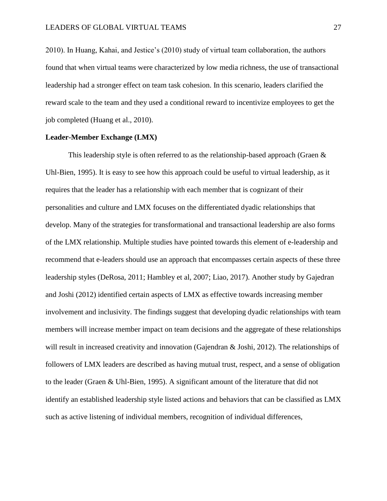2010). In Huang, Kahai, and Jestice's (2010) study of virtual team collaboration, the authors found that when virtual teams were characterized by low media richness, the use of transactional leadership had a stronger effect on team task cohesion. In this scenario, leaders clarified the reward scale to the team and they used a conditional reward to incentivize employees to get the job completed (Huang et al., 2010).

# **Leader-Member Exchange (LMX)**

This leadership style is often referred to as the relationship-based approach (Graen  $\&$ Uhl-Bien, 1995). It is easy to see how this approach could be useful to virtual leadership, as it requires that the leader has a relationship with each member that is cognizant of their personalities and culture and LMX focuses on the differentiated dyadic relationships that develop. Many of the strategies for transformational and transactional leadership are also forms of the LMX relationship. Multiple studies have pointed towards this element of e-leadership and recommend that e-leaders should use an approach that encompasses certain aspects of these three leadership styles (DeRosa, 2011; Hambley et al, 2007; Liao, 2017). Another study by Gajedran and Joshi (2012) identified certain aspects of LMX as effective towards increasing member involvement and inclusivity. The findings suggest that developing dyadic relationships with team members will increase member impact on team decisions and the aggregate of these relationships will result in increased creativity and innovation (Gajendran & Joshi, 2012). The relationships of followers of LMX leaders are described as having mutual trust, respect, and a sense of obligation to the leader (Graen & Uhl-Bien, 1995). A significant amount of the literature that did not identify an established leadership style listed actions and behaviors that can be classified as LMX such as active listening of individual members, recognition of individual differences,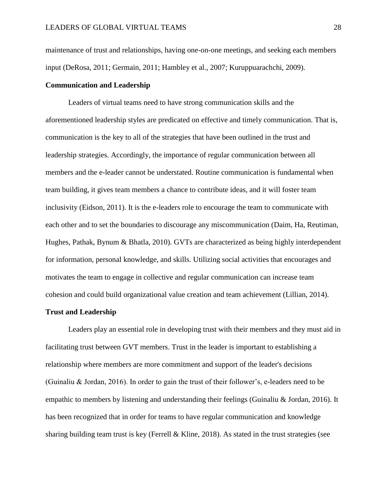maintenance of trust and relationships, having one-on-one meetings, and seeking each members input (DeRosa, 2011; Germain, 2011; Hambley et al., 2007; Kuruppuarachchi, 2009).

# **Communication and Leadership**

Leaders of virtual teams need to have strong communication skills and the aforementioned leadership styles are predicated on effective and timely communication. That is, communication is the key to all of the strategies that have been outlined in the trust and leadership strategies. Accordingly, the importance of regular communication between all members and the e-leader cannot be understated. Routine communication is fundamental when team building, it gives team members a chance to contribute ideas, and it will foster team inclusivity (Eidson, 2011). It is the e-leaders role to encourage the team to communicate with each other and to set the boundaries to discourage any miscommunication (Daim, Ha, Reutiman, Hughes, Pathak, Bynum & Bhatla, 2010). GVTs are characterized as being highly interdependent for information, personal knowledge, and skills. Utilizing social activities that encourages and motivates the team to engage in collective and regular communication can increase team cohesion and could build organizational value creation and team achievement (Lillian, 2014).

# **Trust and Leadership**

Leaders play an essential role in developing trust with their members and they must aid in facilitating trust between GVT members. Trust in the leader is important to establishing a relationship where members are more commitment and support of the leader's decisions (Guinaliu & Jordan, 2016). In order to gain the trust of their follower's, e-leaders need to be empathic to members by listening and understanding their feelings (Guinaliu & Jordan, 2016). It has been recognized that in order for teams to have regular communication and knowledge sharing building team trust is key (Ferrell & Kline, 2018). As stated in the trust strategies (see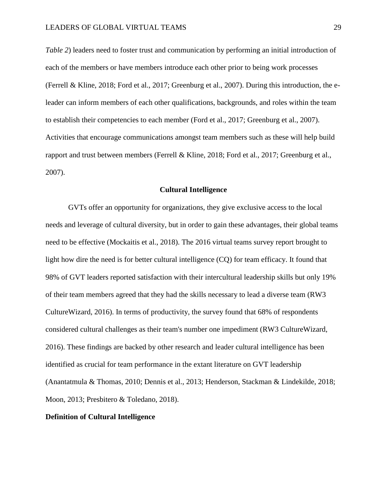*Table 2*) leaders need to foster trust and communication by performing an initial introduction of each of the members or have members introduce each other prior to being work processes (Ferrell & Kline, 2018; Ford et al., 2017; Greenburg et al., 2007). During this introduction, the eleader can inform members of each other qualifications, backgrounds, and roles within the team to establish their competencies to each member (Ford et al., 2017; Greenburg et al., 2007). Activities that encourage communications amongst team members such as these will help build rapport and trust between members (Ferrell & Kline, 2018; Ford et al., 2017; Greenburg et al., 2007).

#### **Cultural Intelligence**

GVTs offer an opportunity for organizations, they give exclusive access to the local needs and leverage of cultural diversity, but in order to gain these advantages, their global teams need to be effective (Mockaitis et al., 2018). The 2016 virtual teams survey report brought to light how dire the need is for better cultural intelligence (CQ) for team efficacy. It found that 98% of GVT leaders reported satisfaction with their intercultural leadership skills but only 19% of their team members agreed that they had the skills necessary to lead a diverse team (RW3 CultureWizard, 2016). In terms of productivity, the survey found that 68% of respondents considered cultural challenges as their team's number one impediment (RW3 CultureWizard, 2016). These findings are backed by other research and leader cultural intelligence has been identified as crucial for team performance in the extant literature on GVT leadership (Anantatmula & Thomas, 2010; Dennis et al., 2013; Henderson, Stackman & Lindekilde, 2018; Moon, 2013; Presbitero & Toledano, 2018).

# **Definition of Cultural Intelligence**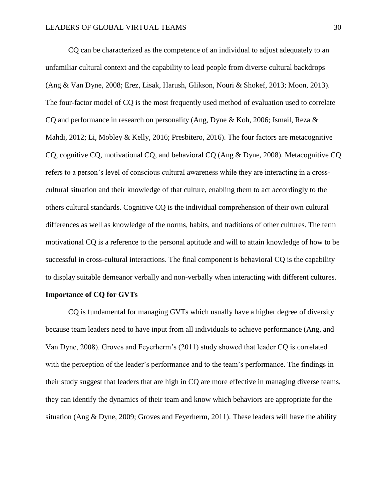CQ can be characterized as the competence of an individual to adjust adequately to an unfamiliar cultural context and the capability to lead people from diverse cultural backdrops (Ang & Van Dyne, 2008; Erez, Lisak, Harush, Glikson, Nouri & Shokef, 2013; Moon, 2013). The four-factor model of CQ is the most frequently used method of evaluation used to correlate CQ and performance in research on personality (Ang, Dyne & Koh, 2006; Ismail, Reza & Mahdi, 2012; Li, Mobley & Kelly, 2016; Presbitero, 2016). The four factors are metacognitive CQ, cognitive CQ, motivational CQ, and behavioral CQ (Ang & Dyne, 2008). Metacognitive CQ refers to a person's level of conscious cultural awareness while they are interacting in a crosscultural situation and their knowledge of that culture, enabling them to act accordingly to the others cultural standards. Cognitive CQ is the individual comprehension of their own cultural differences as well as knowledge of the norms, habits, and traditions of other cultures. The term motivational CQ is a reference to the personal aptitude and will to attain knowledge of how to be successful in cross-cultural interactions. The final component is behavioral CQ is the capability to display suitable demeanor verbally and non-verbally when interacting with different cultures.

# **Importance of CQ for GVTs**

CQ is fundamental for managing GVTs which usually have a higher degree of diversity because team leaders need to have input from all individuals to achieve performance (Ang, and Van Dyne, 2008). Groves and Feyerherm's (2011) study showed that leader CQ is correlated with the perception of the leader's performance and to the team's performance. The findings in their study suggest that leaders that are high in CQ are more effective in managing diverse teams, they can identify the dynamics of their team and know which behaviors are appropriate for the situation (Ang & Dyne, 2009; Groves and Feyerherm, 2011). These leaders will have the ability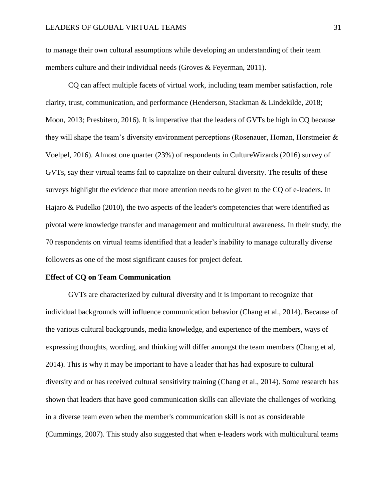to manage their own cultural assumptions while developing an understanding of their team members culture and their individual needs (Groves & Feyerman, 2011).

CQ can affect multiple facets of virtual work, including team member satisfaction, role clarity, trust, communication, and performance (Henderson, Stackman & Lindekilde, 2018; Moon, 2013; Presbitero, 2016). It is imperative that the leaders of GVTs be high in CQ because they will shape the team's diversity environment perceptions (Rosenauer, Homan, Horstmeier & Voelpel, 2016). Almost one quarter (23%) of respondents in CultureWizards (2016) survey of GVTs, say their virtual teams fail to capitalize on their cultural diversity. The results of these surveys highlight the evidence that more attention needs to be given to the CQ of e-leaders. In Hajaro & Pudelko (2010), the two aspects of the leader's competencies that were identified as pivotal were knowledge transfer and management and multicultural awareness. In their study, the 70 respondents on virtual teams identified that a leader's inability to manage culturally diverse followers as one of the most significant causes for project defeat.

#### **Effect of CQ on Team Communication**

GVTs are characterized by cultural diversity and it is important to recognize that individual backgrounds will influence communication behavior (Chang et al., 2014). Because of the various cultural backgrounds, media knowledge, and experience of the members, ways of expressing thoughts, wording, and thinking will differ amongst the team members (Chang et al, 2014). This is why it may be important to have a leader that has had exposure to cultural diversity and or has received cultural sensitivity training (Chang et al., 2014). Some research has shown that leaders that have good communication skills can alleviate the challenges of working in a diverse team even when the member's communication skill is not as considerable (Cummings, 2007). This study also suggested that when e-leaders work with multicultural teams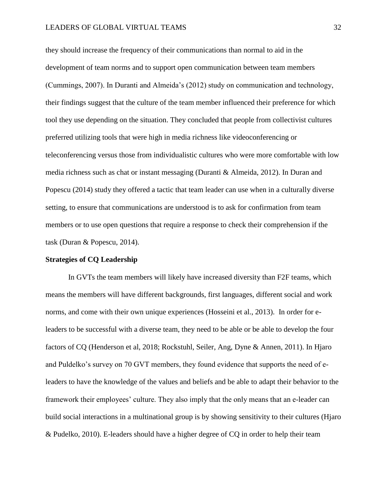# LEADERS OF GLOBAL VIRTUAL TEAMS 32

they should increase the frequency of their communications than normal to aid in the development of team norms and to support open communication between team members (Cummings, 2007). In Duranti and Almeida's (2012) study on communication and technology, their findings suggest that the culture of the team member influenced their preference for which tool they use depending on the situation. They concluded that people from collectivist cultures preferred utilizing tools that were high in media richness like videoconferencing or teleconferencing versus those from individualistic cultures who were more comfortable with low media richness such as chat or instant messaging (Duranti & Almeida, 2012). In Duran and Popescu (2014) study they offered a tactic that team leader can use when in a culturally diverse setting, to ensure that communications are understood is to ask for confirmation from team members or to use open questions that require a response to check their comprehension if the task (Duran & Popescu, 2014).

#### **Strategies of CQ Leadership**

In GVTs the team members will likely have increased diversity than F2F teams, which means the members will have different backgrounds, first languages, different social and work norms, and come with their own unique experiences (Hosseini et al., 2013). In order for eleaders to be successful with a diverse team, they need to be able or be able to develop the four factors of CQ (Henderson et al, 2018; Rockstuhl, Seiler, Ang, Dyne & Annen, 2011). In Hjaro and Puldelko's survey on 70 GVT members, they found evidence that supports the need of eleaders to have the knowledge of the values and beliefs and be able to adapt their behavior to the framework their employees' culture. They also imply that the only means that an e-leader can build social interactions in a multinational group is by showing sensitivity to their cultures (Hjaro & Pudelko, 2010). E-leaders should have a higher degree of CQ in order to help their team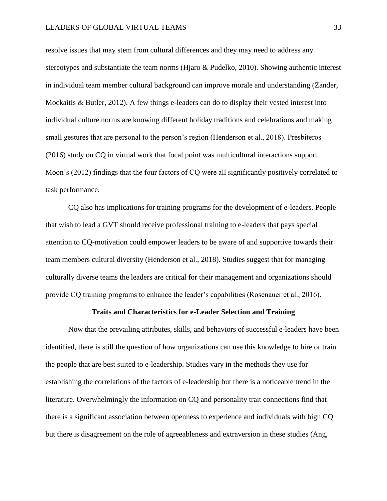resolve issues that may stem from cultural differences and they may need to address any stereotypes and substantiate the team norms (Hjaro & Pudelko, 2010). Showing authentic interest in individual team member cultural background can improve morale and understanding (Zander, Mockaitis & Butler, 2012). A few things e-leaders can do to display their vested interest into individual culture norms are knowing different holiday traditions and celebrations and making small gestures that are personal to the person's region (Henderson et al., 2018). Presbiteros (2016) study on CQ in virtual work that focal point was multicultural interactions support Moon's (2012) findings that the four factors of CQ were all significantly positively correlated to task performance.

CQ also has implications for training programs for the development of e-leaders. People that wish to lead a GVT should receive professional training to e-leaders that pays special attention to CQ-motivation could empower leaders to be aware of and supportive towards their team members cultural diversity (Henderson et al., 2018). Studies suggest that for managing culturally diverse teams the leaders are critical for their management and organizations should provide CQ training programs to enhance the leader's capabilities (Rosenauer et al., 2016).

# **Traits and Characteristics for e-Leader Selection and Training**

Now that the prevailing attributes, skills, and behaviors of successful e-leaders have been identified, there is still the question of how organizations can use this knowledge to hire or train the people that are best suited to e-leadership. Studies vary in the methods they use for establishing the correlations of the factors of e-leadership but there is a noticeable trend in the literature. Overwhelmingly the information on CQ and personality trait connections find that there is a significant association between openness to experience and individuals with high CQ but there is disagreement on the role of agreeableness and extraversion in these studies (Ang,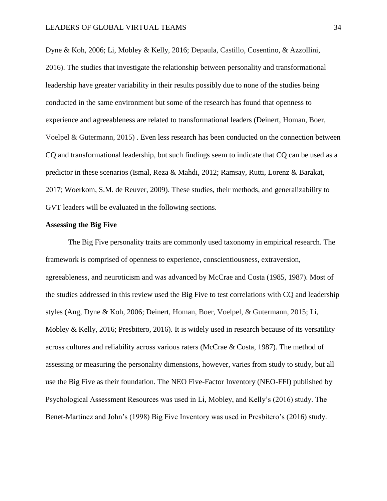Dyne & Koh, 2006; Li, Mobley & Kelly, 2016; Depaula, Castillo, Cosentino, & Azzollini, 2016). The studies that investigate the relationship between personality and transformational leadership have greater variability in their results possibly due to none of the studies being conducted in the same environment but some of the research has found that openness to experience and agreeableness are related to transformational leaders (Deinert, Homan, Boer, Voelpel & Gutermann, 2015) . Even less research has been conducted on the connection between CQ and transformational leadership, but such findings seem to indicate that CQ can be used as a predictor in these scenarios (Ismal, Reza & Mahdi, 2012; Ramsay, Rutti, Lorenz & Barakat, 2017; Woerkom, S.M. de Reuver, 2009). These studies, their methods, and generalizability to GVT leaders will be evaluated in the following sections.

#### **Assessing the Big Five**

The Big Five personality traits are commonly used taxonomy in empirical research. The framework is comprised of openness to experience, conscientiousness, extraversion, agreeableness, and neuroticism and was advanced by McCrae and Costa (1985, 1987). Most of the studies addressed in this review used the Big Five to test correlations with CQ and leadership styles (Ang, Dyne & Koh, 2006; Deinert, Homan, Boer, Voelpel, & Gutermann, 2015; Li, Mobley & Kelly, 2016; Presbitero, 2016). It is widely used in research because of its versatility across cultures and reliability across various raters (McCrae & Costa, 1987). The method of assessing or measuring the personality dimensions, however, varies from study to study, but all use the Big Five as their foundation. The NEO Five-Factor Inventory (NEO-FFI) published by Psychological Assessment Resources was used in Li, Mobley, and Kelly's (2016) study. The Benet-Martinez and John's (1998) Big Five Inventory was used in Presbitero's (2016) study.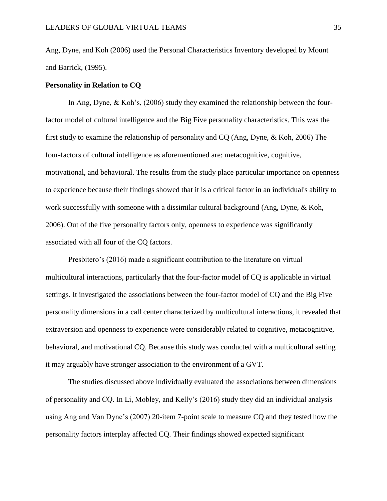Ang, Dyne, and Koh (2006) used the Personal Characteristics Inventory developed by Mount and Barrick, (1995).

# **Personality in Relation to CQ**

In Ang, Dyne, & Koh's, (2006) study they examined the relationship between the fourfactor model of cultural intelligence and the Big Five personality characteristics. This was the first study to examine the relationship of personality and CQ (Ang, Dyne, & Koh, 2006) The four-factors of cultural intelligence as aforementioned are: metacognitive, cognitive, motivational, and behavioral. The results from the study place particular importance on openness to experience because their findings showed that it is a critical factor in an individual's ability to work successfully with someone with a dissimilar cultural background (Ang, Dyne, & Koh, 2006). Out of the five personality factors only, openness to experience was significantly associated with all four of the CQ factors.

Presbitero's (2016) made a significant contribution to the literature on virtual multicultural interactions, particularly that the four-factor model of CQ is applicable in virtual settings. It investigated the associations between the four-factor model of CQ and the Big Five personality dimensions in a call center characterized by multicultural interactions, it revealed that extraversion and openness to experience were considerably related to cognitive, metacognitive, behavioral, and motivational CQ. Because this study was conducted with a multicultural setting it may arguably have stronger association to the environment of a GVT.

The studies discussed above individually evaluated the associations between dimensions of personality and CQ. In Li, Mobley, and Kelly's (2016) study they did an individual analysis using Ang and Van Dyne's (2007) 20-item 7-point scale to measure CQ and they tested how the personality factors interplay affected CQ. Their findings showed expected significant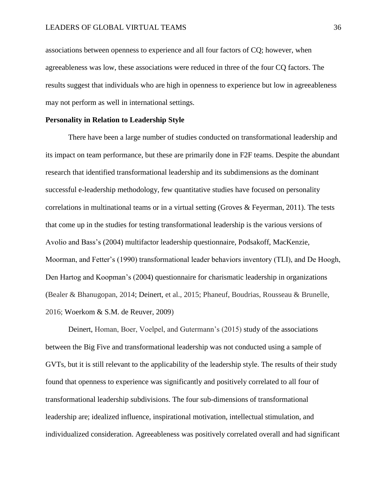associations between openness to experience and all four factors of CQ; however, when agreeableness was low, these associations were reduced in three of the four CQ factors. The results suggest that individuals who are high in openness to experience but low in agreeableness may not perform as well in international settings.

#### **Personality in Relation to Leadership Style**

There have been a large number of studies conducted on transformational leadership and its impact on team performance, but these are primarily done in F2F teams. Despite the abundant research that identified transformational leadership and its subdimensions as the dominant successful e-leadership methodology, few quantitative studies have focused on personality correlations in multinational teams or in a virtual setting (Groves & Feyerman, 2011). The tests that come up in the studies for testing transformational leadership is the various versions of Avolio and Bass's (2004) multifactor leadership questionnaire, Podsakoff, MacKenzie, Moorman, and Fetter's (1990) transformational leader behaviors inventory (TLI), and De Hoogh, Den Hartog and Koopman's (2004) questionnaire for charismatic leadership in organizations (Bealer & Bhanugopan, 2014; Deinert, et al., 2015; Phaneuf, Boudrias, Rousseau & Brunelle, 2016; Woerkom & S.M. de Reuver, 2009)

Deinert, Homan, Boer, Voelpel, and Gutermann's (2015) study of the associations between the Big Five and transformational leadership was not conducted using a sample of GVTs, but it is still relevant to the applicability of the leadership style. The results of their study found that openness to experience was significantly and positively correlated to all four of transformational leadership subdivisions. The four sub-dimensions of transformational leadership are; idealized influence, inspirational motivation, intellectual stimulation, and individualized consideration. Agreeableness was positively correlated overall and had significant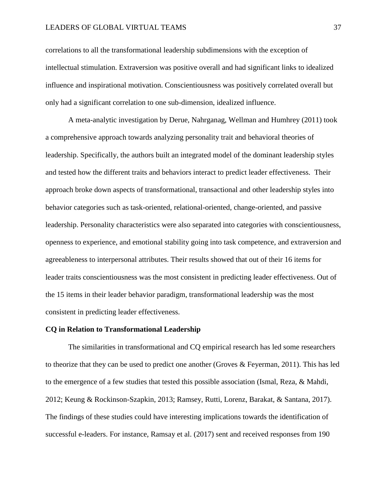# LEADERS OF GLOBAL VIRTUAL TEAMS 37

correlations to all the transformational leadership subdimensions with the exception of intellectual stimulation. Extraversion was positive overall and had significant links to idealized influence and inspirational motivation. Conscientiousness was positively correlated overall but only had a significant correlation to one sub-dimension, idealized influence.

A meta-analytic investigation by Derue, Nahrganag, Wellman and Humhrey (2011) took a comprehensive approach towards analyzing personality trait and behavioral theories of leadership. Specifically, the authors built an integrated model of the dominant leadership styles and tested how the different traits and behaviors interact to predict leader effectiveness. Their approach broke down aspects of transformational, transactional and other leadership styles into behavior categories such as task-oriented, relational-oriented, change-oriented, and passive leadership. Personality characteristics were also separated into categories with conscientiousness, openness to experience, and emotional stability going into task competence, and extraversion and agreeableness to interpersonal attributes. Their results showed that out of their 16 items for leader traits conscientiousness was the most consistent in predicting leader effectiveness. Out of the 15 items in their leader behavior paradigm, transformational leadership was the most consistent in predicting leader effectiveness.

#### **CQ in Relation to Transformational Leadership**

The similarities in transformational and CQ empirical research has led some researchers to theorize that they can be used to predict one another (Groves & Feyerman, 2011). This has led to the emergence of a few studies that tested this possible association (Ismal, Reza, & Mahdi, 2012; Keung & Rockinson-Szapkin, 2013; Ramsey, Rutti, Lorenz, Barakat, & Santana, 2017). The findings of these studies could have interesting implications towards the identification of successful e-leaders. For instance, Ramsay et al. (2017) sent and received responses from 190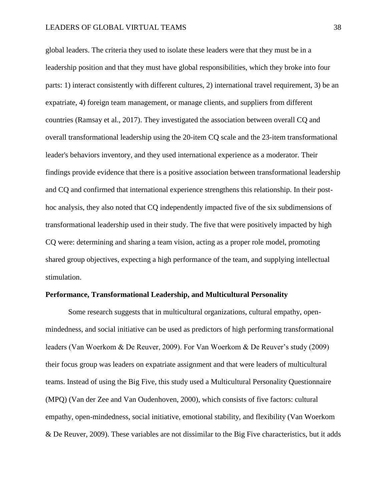# LEADERS OF GLOBAL VIRTUAL TEAMS 38

global leaders. The criteria they used to isolate these leaders were that they must be in a leadership position and that they must have global responsibilities, which they broke into four parts: 1) interact consistently with different cultures, 2) international travel requirement, 3) be an expatriate, 4) foreign team management, or manage clients, and suppliers from different countries (Ramsay et al., 2017). They investigated the association between overall CQ and overall transformational leadership using the 20-item CQ scale and the 23-item transformational leader's behaviors inventory, and they used international experience as a moderator. Their findings provide evidence that there is a positive association between transformational leadership and CQ and confirmed that international experience strengthens this relationship. In their posthoc analysis, they also noted that CQ independently impacted five of the six subdimensions of transformational leadership used in their study. The five that were positively impacted by high CQ were: determining and sharing a team vision, acting as a proper role model, promoting shared group objectives, expecting a high performance of the team, and supplying intellectual stimulation.

#### **Performance, Transformational Leadership, and Multicultural Personality**

Some research suggests that in multicultural organizations, cultural empathy, openmindedness, and social initiative can be used as predictors of high performing transformational leaders (Van Woerkom & De Reuver, 2009). For Van Woerkom & De Reuver's study (2009) their focus group was leaders on expatriate assignment and that were leaders of multicultural teams. Instead of using the Big Five, this study used a Multicultural Personality Questionnaire (MPQ) (Van der Zee and Van Oudenhoven, 2000), which consists of five factors: cultural empathy, open-mindedness, social initiative, emotional stability, and flexibility (Van Woerkom & De Reuver, 2009). These variables are not dissimilar to the Big Five characteristics, but it adds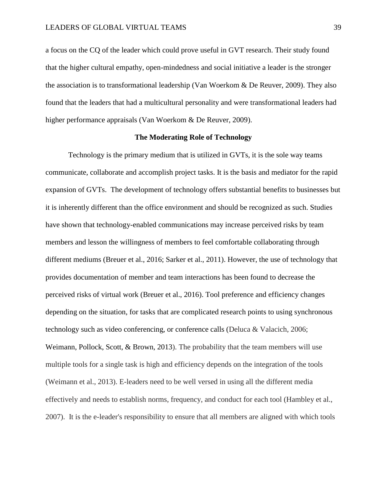a focus on the CQ of the leader which could prove useful in GVT research. Their study found that the higher cultural empathy, open-mindedness and social initiative a leader is the stronger the association is to transformational leadership (Van Woerkom & De Reuver, 2009). They also found that the leaders that had a multicultural personality and were transformational leaders had higher performance appraisals (Van Woerkom & De Reuver, 2009).

# **The Moderating Role of Technology**

Technology is the primary medium that is utilized in GVTs, it is the sole way teams communicate, collaborate and accomplish project tasks. It is the basis and mediator for the rapid expansion of GVTs. The development of technology offers substantial benefits to businesses but it is inherently different than the office environment and should be recognized as such. Studies have shown that technology-enabled communications may increase perceived risks by team members and lesson the willingness of members to feel comfortable collaborating through different mediums (Breuer et al., 2016; Sarker et al., 2011). However, the use of technology that provides documentation of member and team interactions has been found to decrease the perceived risks of virtual work (Breuer et al., 2016). Tool preference and efficiency changes depending on the situation, for tasks that are complicated research points to using synchronous technology such as video conferencing, or conference calls (Deluca & Valacich, 2006; Weimann, Pollock, Scott, & Brown, 2013). The probability that the team members will use multiple tools for a single task is high and efficiency depends on the integration of the tools (Weimann et al., 2013). E-leaders need to be well versed in using all the different media effectively and needs to establish norms, frequency, and conduct for each tool (Hambley et al., 2007). It is the e-leader's responsibility to ensure that all members are aligned with which tools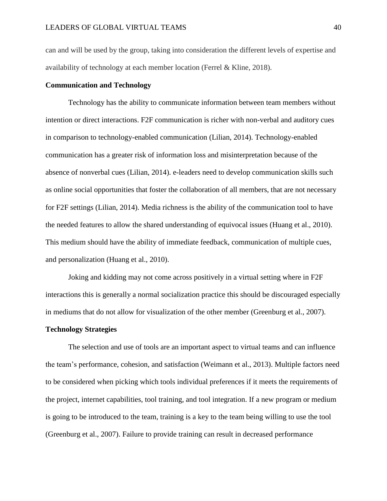can and will be used by the group, taking into consideration the different levels of expertise and availability of technology at each member location (Ferrel & Kline, 2018).

# **Communication and Technology**

Technology has the ability to communicate information between team members without intention or direct interactions. F2F communication is richer with non-verbal and auditory cues in comparison to technology-enabled communication (Lilian, 2014). Technology-enabled communication has a greater risk of information loss and misinterpretation because of the absence of nonverbal cues (Lilian, 2014). e-leaders need to develop communication skills such as online social opportunities that foster the collaboration of all members, that are not necessary for F2F settings (Lilian, 2014). Media richness is the ability of the communication tool to have the needed features to allow the shared understanding of equivocal issues (Huang et al., 2010). This medium should have the ability of immediate feedback, communication of multiple cues, and personalization (Huang et al., 2010).

Joking and kidding may not come across positively in a virtual setting where in F2F interactions this is generally a normal socialization practice this should be discouraged especially in mediums that do not allow for visualization of the other member (Greenburg et al., 2007).

# **Technology Strategies**

The selection and use of tools are an important aspect to virtual teams and can influence the team's performance, cohesion, and satisfaction (Weimann et al., 2013). Multiple factors need to be considered when picking which tools individual preferences if it meets the requirements of the project, internet capabilities, tool training, and tool integration. If a new program or medium is going to be introduced to the team, training is a key to the team being willing to use the tool (Greenburg et al., 2007). Failure to provide training can result in decreased performance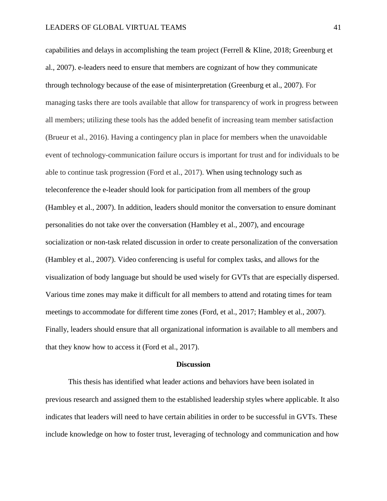capabilities and delays in accomplishing the team project (Ferrell & Kline, 2018; Greenburg et al., 2007). e-leaders need to ensure that members are cognizant of how they communicate through technology because of the ease of misinterpretation (Greenburg et al., 2007). For managing tasks there are tools available that allow for transparency of work in progress between all members; utilizing these tools has the added benefit of increasing team member satisfaction (Brueur et al., 2016). Having a contingency plan in place for members when the unavoidable event of technology-communication failure occurs is important for trust and for individuals to be able to continue task progression (Ford et al., 2017). When using technology such as teleconference the e-leader should look for participation from all members of the group (Hambley et al., 2007). In addition, leaders should monitor the conversation to ensure dominant personalities do not take over the conversation (Hambley et al., 2007), and encourage socialization or non-task related discussion in order to create personalization of the conversation (Hambley et al., 2007). Video conferencing is useful for complex tasks, and allows for the visualization of body language but should be used wisely for GVTs that are especially dispersed. Various time zones may make it difficult for all members to attend and rotating times for team meetings to accommodate for different time zones (Ford, et al., 2017; Hambley et al., 2007). Finally, leaders should ensure that all organizational information is available to all members and that they know how to access it (Ford et al., 2017).

#### **Discussion**

This thesis has identified what leader actions and behaviors have been isolated in previous research and assigned them to the established leadership styles where applicable. It also indicates that leaders will need to have certain abilities in order to be successful in GVTs. These include knowledge on how to foster trust, leveraging of technology and communication and how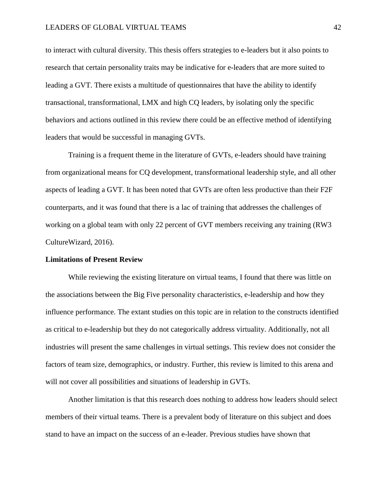to interact with cultural diversity. This thesis offers strategies to e-leaders but it also points to research that certain personality traits may be indicative for e-leaders that are more suited to leading a GVT. There exists a multitude of questionnaires that have the ability to identify transactional, transformational, LMX and high CQ leaders, by isolating only the specific behaviors and actions outlined in this review there could be an effective method of identifying leaders that would be successful in managing GVTs.

Training is a frequent theme in the literature of GVTs, e-leaders should have training from organizational means for CQ development, transformational leadership style, and all other aspects of leading a GVT. It has been noted that GVTs are often less productive than their F2F counterparts, and it was found that there is a lac of training that addresses the challenges of working on a global team with only 22 percent of GVT members receiving any training (RW3 CultureWizard, 2016).

#### **Limitations of Present Review**

While reviewing the existing literature on virtual teams, I found that there was little on the associations between the Big Five personality characteristics, e-leadership and how they influence performance. The extant studies on this topic are in relation to the constructs identified as critical to e-leadership but they do not categorically address virtuality. Additionally, not all industries will present the same challenges in virtual settings. This review does not consider the factors of team size, demographics, or industry. Further, this review is limited to this arena and will not cover all possibilities and situations of leadership in GVTs.

Another limitation is that this research does nothing to address how leaders should select members of their virtual teams. There is a prevalent body of literature on this subject and does stand to have an impact on the success of an e-leader. Previous studies have shown that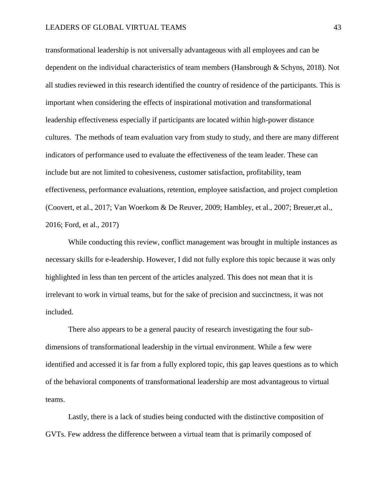# LEADERS OF GLOBAL VIRTUAL TEAMS 43

transformational leadership is not universally advantageous with all employees and can be dependent on the individual characteristics of team members (Hansbrough & Schyns, 2018). Not all studies reviewed in this research identified the country of residence of the participants. This is important when considering the effects of inspirational motivation and transformational leadership effectiveness especially if participants are located within high-power distance cultures. The methods of team evaluation vary from study to study, and there are many different indicators of performance used to evaluate the effectiveness of the team leader. These can include but are not limited to cohesiveness, customer satisfaction, profitability, team effectiveness, performance evaluations, retention, employee satisfaction, and project completion (Coovert, et al., 2017; Van Woerkom & De Reuver, 2009; Hambley, et al., 2007; Breuer,et al., 2016; Ford, et al., 2017)

While conducting this review, conflict management was brought in multiple instances as necessary skills for e-leadership. However, I did not fully explore this topic because it was only highlighted in less than ten percent of the articles analyzed. This does not mean that it is irrelevant to work in virtual teams, but for the sake of precision and succinctness, it was not included.

There also appears to be a general paucity of research investigating the four subdimensions of transformational leadership in the virtual environment. While a few were identified and accessed it is far from a fully explored topic, this gap leaves questions as to which of the behavioral components of transformational leadership are most advantageous to virtual teams.

Lastly, there is a lack of studies being conducted with the distinctive composition of GVTs. Few address the difference between a virtual team that is primarily composed of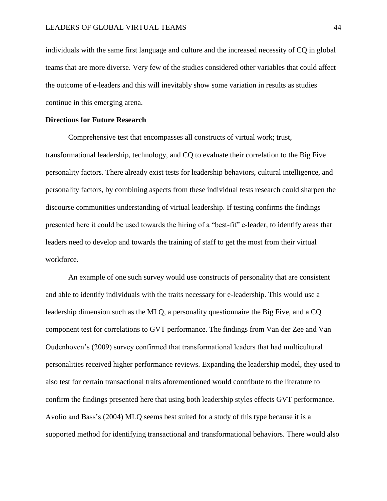individuals with the same first language and culture and the increased necessity of CQ in global teams that are more diverse. Very few of the studies considered other variables that could affect the outcome of e-leaders and this will inevitably show some variation in results as studies continue in this emerging arena.

## **Directions for Future Research**

Comprehensive test that encompasses all constructs of virtual work; trust, transformational leadership, technology, and CQ to evaluate their correlation to the Big Five personality factors. There already exist tests for leadership behaviors, cultural intelligence, and personality factors, by combining aspects from these individual tests research could sharpen the discourse communities understanding of virtual leadership. If testing confirms the findings presented here it could be used towards the hiring of a "best-fit" e-leader, to identify areas that leaders need to develop and towards the training of staff to get the most from their virtual workforce.

An example of one such survey would use constructs of personality that are consistent and able to identify individuals with the traits necessary for e-leadership. This would use a leadership dimension such as the MLQ, a personality questionnaire the Big Five, and a CQ component test for correlations to GVT performance. The findings from Van der Zee and Van Oudenhoven's (2009) survey confirmed that transformational leaders that had multicultural personalities received higher performance reviews. Expanding the leadership model, they used to also test for certain transactional traits aforementioned would contribute to the literature to confirm the findings presented here that using both leadership styles effects GVT performance. Avolio and Bass's (2004) MLQ seems best suited for a study of this type because it is a supported method for identifying transactional and transformational behaviors. There would also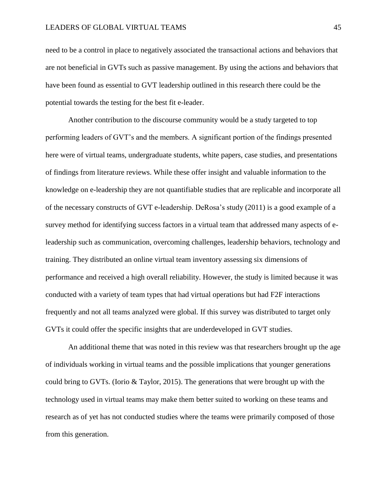need to be a control in place to negatively associated the transactional actions and behaviors that are not beneficial in GVTs such as passive management. By using the actions and behaviors that have been found as essential to GVT leadership outlined in this research there could be the potential towards the testing for the best fit e-leader.

Another contribution to the discourse community would be a study targeted to top performing leaders of GVT's and the members. A significant portion of the findings presented here were of virtual teams, undergraduate students, white papers, case studies, and presentations of findings from literature reviews. While these offer insight and valuable information to the knowledge on e-leadership they are not quantifiable studies that are replicable and incorporate all of the necessary constructs of GVT e-leadership. DeRosa's study (2011) is a good example of a survey method for identifying success factors in a virtual team that addressed many aspects of eleadership such as communication, overcoming challenges, leadership behaviors, technology and training. They distributed an online virtual team inventory assessing six dimensions of performance and received a high overall reliability. However, the study is limited because it was conducted with a variety of team types that had virtual operations but had F2F interactions frequently and not all teams analyzed were global. If this survey was distributed to target only GVTs it could offer the specific insights that are underdeveloped in GVT studies.

An additional theme that was noted in this review was that researchers brought up the age of individuals working in virtual teams and the possible implications that younger generations could bring to GVTs. (Iorio & Taylor, 2015). The generations that were brought up with the technology used in virtual teams may make them better suited to working on these teams and research as of yet has not conducted studies where the teams were primarily composed of those from this generation.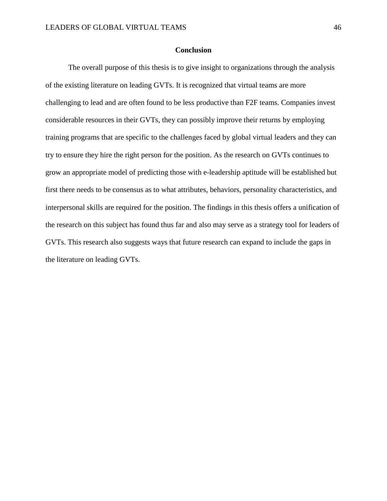#### **Conclusion**

The overall purpose of this thesis is to give insight to organizations through the analysis of the existing literature on leading GVTs. It is recognized that virtual teams are more challenging to lead and are often found to be less productive than F2F teams. Companies invest considerable resources in their GVTs, they can possibly improve their returns by employing training programs that are specific to the challenges faced by global virtual leaders and they can try to ensure they hire the right person for the position. As the research on GVTs continues to grow an appropriate model of predicting those with e-leadership aptitude will be established but first there needs to be consensus as to what attributes, behaviors, personality characteristics, and interpersonal skills are required for the position. The findings in this thesis offers a unification of the research on this subject has found thus far and also may serve as a strategy tool for leaders of GVTs. This research also suggests ways that future research can expand to include the gaps in the literature on leading GVTs.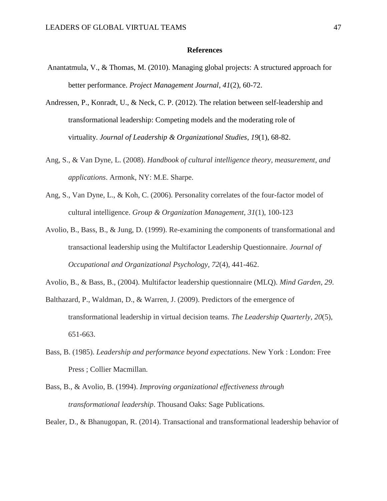## **References**

- Anantatmula, V., & Thomas, M. (2010). Managing global projects: A structured approach for better performance. *Project Management Journal*, *41*(2), 60-72.
- Andressen, P., Konradt, U., & Neck, C. P. (2012). The relation between self-leadership and transformational leadership: Competing models and the moderating role of virtuality. *Journal of Leadership & Organizational Studies*, *19*(1), 68-82.
- Ang, S., & Van Dyne, L. (2008). *Handbook of cultural intelligence theory, measurement, and applications*. Armonk, NY: M.E. Sharpe.
- Ang, S., Van Dyne, L., & Koh, C. (2006). Personality correlates of the four-factor model of cultural intelligence. *Group & Organization Management, 31*(1), 100-123
- Avolio, B., Bass, B., & Jung, D. (1999). Re-examining the components of transformational and transactional leadership using the Multifactor Leadership Questionnaire. *Journal of Occupational and Organizational Psychology, 72*(4), 441-462.
- Avolio, B., & Bass, B., (2004). Multifactor leadership questionnaire (MLQ). *Mind Garden*, *29*.
- Balthazard, P., Waldman, D., & Warren, J. (2009). Predictors of the emergence of transformational leadership in virtual decision teams. *The Leadership Quarterly, 20*(5), 651-663.
- Bass, B. (1985). *Leadership and performance beyond expectations*. New York : London: Free Press ; Collier Macmillan.
- Bass, B., & Avolio, B. (1994). *Improving organizational effectiveness through transformational leadership*. Thousand Oaks: Sage Publications.

Bealer, D., & Bhanugopan, R. (2014). Transactional and transformational leadership behavior of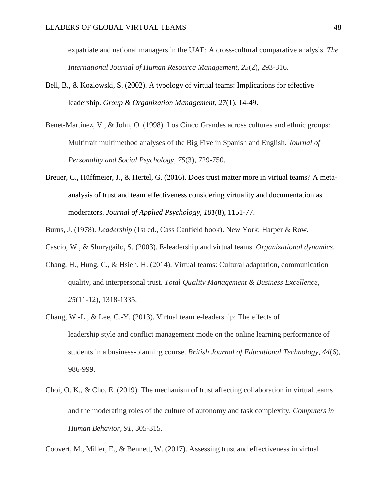expatriate and national managers in the UAE: A cross-cultural comparative analysis. *The International Journal of Human Resource Management, 25*(2), 293-316.

- Bell, B., & Kozlowski, S. (2002). A typology of virtual teams: Implications for effective leadership. *Group & Organization Management*, *27*(1), 14-49.
- Benet-Martínez, V., & John, O. (1998). Los Cinco Grandes across cultures and ethnic groups: Multitrait multimethod analyses of the Big Five in Spanish and English. *Journal of Personality and Social Psychology, 75*(3), 729-750.
- Breuer, C., Hüffmeier, J., & Hertel, G. (2016). Does trust matter more in virtual teams? A metaanalysis of trust and team effectiveness considering virtuality and documentation as moderators. *Journal of Applied Psychology, 101*(8), 1151-77.
- Burns, J. (1978). *Leadership* (1st ed., Cass Canfield book). New York: Harper & Row.
- Cascio, W., & Shurygailo, S. (2003). E-leadership and virtual teams. *Organizational dynamics*.
- Chang, H., Hung, C., & Hsieh, H. (2014). Virtual teams: Cultural adaptation, communication quality, and interpersonal trust. *Total Quality Management & Business Excellence, 25*(11-12), 1318-1335.
- Chang, W.-L., & Lee, C.-Y. (2013). Virtual team e-leadership: The effects of leadership style and conflict management mode on the online learning performance of students in a business-planning course. *British Journal of Educational Technology, 44*(6), 986-999.
- Choi, O. K., & Cho, E. (2019). The mechanism of trust affecting collaboration in virtual teams and the moderating roles of the culture of autonomy and task complexity. *Computers in Human Behavior, 91*, 305-315.

Coovert, M., Miller, E., & Bennett, W. (2017). Assessing trust and effectiveness in virtual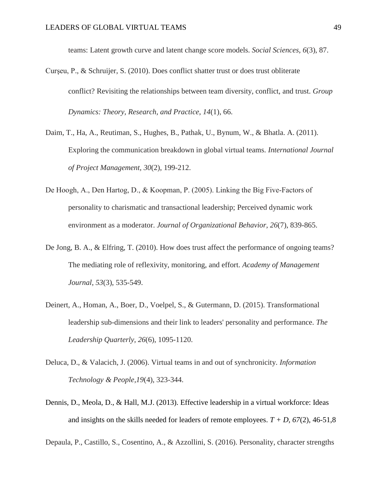teams: Latent growth curve and latent change score models. *Social Sciences, 6*(3), 87.

- Curşeu, P., & Schruijer, S. (2010). Does conflict shatter trust or does trust obliterate conflict? Revisiting the relationships between team diversity, conflict, and trust. *Group Dynamics: Theory, Research, and Practice*, *14*(1), 66.
- Daim, T., Ha, A., Reutiman, S., Hughes, B., Pathak, U., Bynum, W., & Bhatla. A. (2011). Exploring the communication breakdown in global virtual teams. *International Journal of Project Management, 30*(2), 199-212.
- De Hoogh, A., Den Hartog, D., & Koopman, P. (2005). Linking the Big Five-Factors of personality to charismatic and transactional leadership; Perceived dynamic work environment as a moderator. *Journal of Organizational Behavior, 26*(7), 839-865.
- De Jong, B. A., & Elfring, T. (2010). How does trust affect the performance of ongoing teams? The mediating role of reflexivity, monitoring, and effort. *Academy of Management Journal*, *53*(3), 535-549.
- Deinert, A., Homan, A., Boer, D., Voelpel, S., & Gutermann, D. (2015). Transformational leadership sub-dimensions and their link to leaders' personality and performance. *The Leadership Quarterly, 26*(6), 1095-1120.
- Deluca, D., & Valacich, J. (2006). Virtual teams in and out of synchronicity. *Information Technology & People,19*(4), 323-344.
- Dennis, D., Meola, D., & Hall, M.J. (2013). Effective leadership in a virtual workforce: Ideas and insights on the skills needed for leaders of remote employees.  $T + D$ , 67(2), 46-51,8

Depaula, P., Castillo, S., Cosentino, A., & Azzollini, S. (2016). Personality, character strengths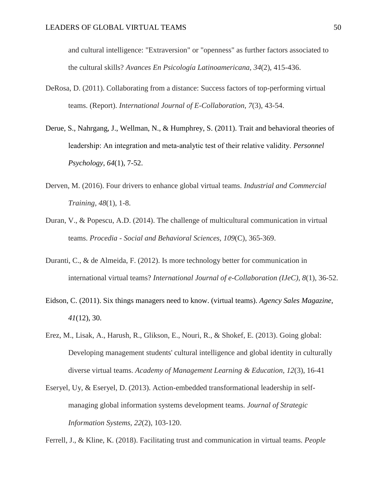and cultural intelligence: "Extraversion" or "openness" as further factors associated to the cultural skills? *Avances En Psicología Latinoamericana, 34*(2), 415-436.

- DeRosa, D. (2011). Collaborating from a distance: Success factors of top-performing virtual teams. (Report). *International Journal of E-Collaboration, 7*(3), 43-54.
- Derue, S., Nahrgang, J., Wellman, N., & Humphrey, S. (2011). Trait and behavioral theories of leadership: An integration and meta‐analytic test of their relative validity. *Personnel Psychology*, *64*(1), 7-52.
- Derven, M. (2016). Four drivers to enhance global virtual teams. *Industrial and Commercial Training, 48*(1), 1-8.
- Duran, V., & Popescu, A.D. (2014). The challenge of multicultural communication in virtual teams. *Procedia - Social and Behavioral Sciences, 109*(C), 365-369.
- Duranti, C., & de Almeida, F. (2012). Is more technology better for communication in international virtual teams? *International Journal of e-Collaboration (IJeC)*, *8*(1), 36-52.
- Eidson, C. (2011). Six things managers need to know. (virtual teams). *Agency Sales Magazine, 41*(12), 30.
- Erez, M., Lisak, A., Harush, R., Glikson, E., Nouri, R., & Shokef, E. (2013). Going global: Developing management students' cultural intelligence and global identity in culturally diverse virtual teams. *Academy of Management Learning & Education, 12*(3), 16-41
- Eseryel, Uy, & Eseryel, D. (2013). Action-embedded transformational leadership in selfmanaging global information systems development teams. *Journal of Strategic Information Systems, 22*(2), 103-120.

Ferrell, J., & Kline, K. (2018). Facilitating trust and communication in virtual teams. *People*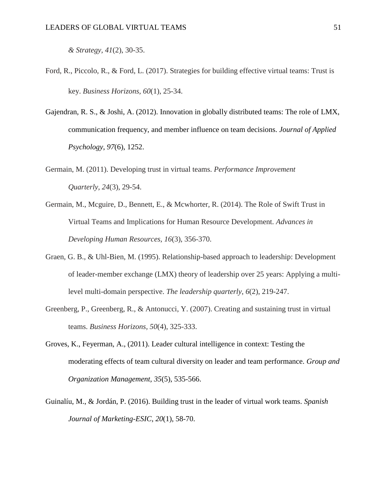*& Strategy, 41*(2), 30-35.

- Ford, R., Piccolo, R., & Ford, L. (2017). Strategies for building effective virtual teams: Trust is key. *Business Horizons, 60*(1), 25-34.
- Gajendran, R. S., & Joshi, A. (2012). Innovation in globally distributed teams: The role of LMX, communication frequency, and member influence on team decisions. *Journal of Applied Psychology*, *97*(6), 1252.
- Germain, M. (2011). Developing trust in virtual teams. *Performance Improvement Quarterly, 24*(3), 29-54.
- Germain, M., Mcguire, D., Bennett, E., & Mcwhorter, R. (2014). The Role of Swift Trust in Virtual Teams and Implications for Human Resource Development. *Advances in Developing Human Resources, 16*(3), 356-370.
- Graen, G. B., & Uhl-Bien, M. (1995). Relationship-based approach to leadership: Development of leader-member exchange (LMX) theory of leadership over 25 years: Applying a multilevel multi-domain perspective. *The leadership quarterly*, *6*(2), 219-247.
- Greenberg, P., Greenberg, R., & Antonucci, Y. (2007). Creating and sustaining trust in virtual teams. *Business Horizons, 50*(4), 325-333.
- Groves, K., Feyerman, A., (2011). Leader cultural intelligence in context: Testing the moderating effects of team cultural diversity on leader and team performance. *Group and Organization Management, 35*(5), 535-566.
- Guinalíu, M., & Jordán, P. (2016). Building trust in the leader of virtual work teams. *Spanish Journal of Marketing-ESIC*, *20*(1), 58-70.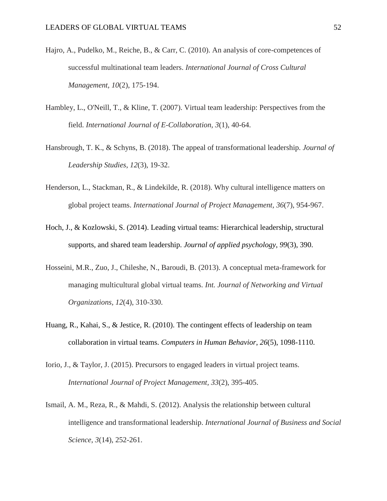- Hajro, A., Pudelko, M., Reiche, B., & Carr, C. (2010). An analysis of core-competences of successful multinational team leaders. *International Journal of Cross Cultural Management, 10*(2), 175-194.
- Hambley, L., O'Neill, T., & Kline, T. (2007). Virtual team leadership: Perspectives from the field. *International Journal of E-Collaboration, 3*(1), 40-64.
- Hansbrough, T. K., & Schyns, B. (2018). The appeal of transformational leadership. *Journal of Leadership Studies*, *12*(3), 19-32.
- Henderson, L., Stackman, R., & Lindekilde, R. (2018). Why cultural intelligence matters on global project teams. *International Journal of Project Management, 36*(7), 954-967.
- Hoch, J., & Kozlowski, S. (2014). Leading virtual teams: Hierarchical leadership, structural supports, and shared team leadership. *Journal of applied psychology*, *99*(3), 390.
- Hosseini, M.R., Zuo, J., Chileshe, N., Baroudi, B. (2013). A conceptual meta-framework for managing multicultural global virtual teams. *Int. Journal of Networking and Virtual Organizations, 12*(4), 310-330.
- Huang, R., Kahai, S., & Jestice, R. (2010). The contingent effects of leadership on team collaboration in virtual teams. *Computers in Human Behavior*, *26*(5), 1098-1110.
- Iorio, J., & Taylor, J. (2015). Precursors to engaged leaders in virtual project teams. *International Journal of Project Management, 33*(2), 395-405.
- Ismail, A. M., Reza, R., & Mahdi, S. (2012). Analysis the relationship between cultural intelligence and transformational leadership. *International Journal of Business and Social Science*, *3*(14), 252-261.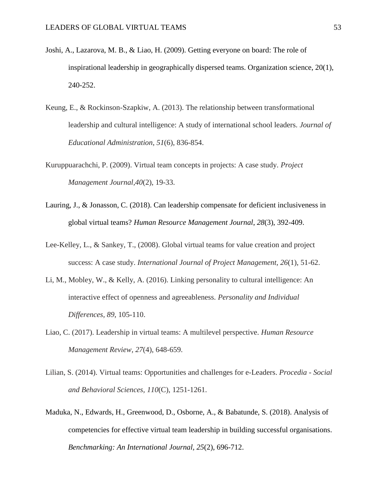- Joshi, A., Lazarova, M. B., & Liao, H. (2009). Getting everyone on board: The role of inspirational leadership in geographically dispersed teams. Organization science, 20(1), 240-252.
- Keung, E., & Rockinson-Szapkiw, A. (2013). The relationship between transformational leadership and cultural intelligence: A study of international school leaders. *Journal of Educational Administration*, *51*(6), 836-854.
- Kuruppuarachchi, P. (2009). Virtual team concepts in projects: A case study. *Project Management Journal,40*(2), 19-33.
- Lauring, J., & Jonasson, C. (2018). Can leadership compensate for deficient inclusiveness in global virtual teams? *Human Resource Management Journal*, *28*(3), 392-409.
- Lee-Kelley, L., & Sankey, T., (2008). Global virtual teams for value creation and project success: A case study. *International Journal of Project Management, 26*(1), 51-62.
- Li, M., Mobley, W., & Kelly, A. (2016). Linking personality to cultural intelligence: An interactive effect of openness and agreeableness. *Personality and Individual Differences, 89*, 105-110.
- Liao, C. (2017). Leadership in virtual teams: A multilevel perspective. *Human Resource Management Review, 27*(4), 648-659.
- Lilian, S. (2014). Virtual teams: Opportunities and challenges for e-Leaders. *Procedia - Social and Behavioral Sciences, 110*(C), 1251-1261.
- Maduka, N., Edwards, H., Greenwood, D., Osborne, A., & Babatunde, S. (2018). Analysis of competencies for effective virtual team leadership in building successful organisations. *Benchmarking: An International Journal, 25*(2), 696-712.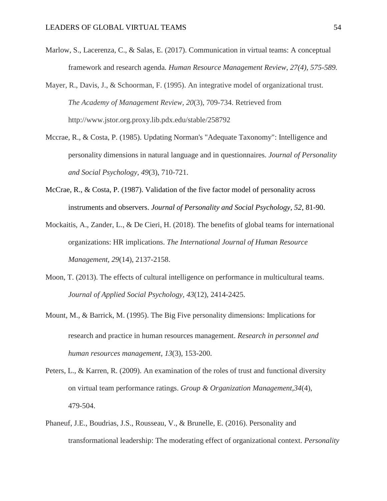- Marlow, S., Lacerenza, C., & Salas, E. (2017). Communication in virtual teams: A conceptual framework and research agenda*. Human Resource Management Review, 27(4), 575-589.*
- Mayer, R., Davis, J., & Schoorman, F. (1995). An integrative model of organizational trust. *The Academy of Management Review, 20*(3), 709-734. Retrieved from http://www.jstor.org.proxy.lib.pdx.edu/stable/258792
- Mccrae, R., & Costa, P. (1985). Updating Norman's "Adequate Taxonomy": Intelligence and personality dimensions in natural language and in questionnaires. *Journal of Personality and Social Psychology, 49*(3), 710-721.
- McCrae, R., & Costa, P. (1987). Validation of the five factor model of personality across instruments and observers. *Journal of Personality and Social Psychology, 52,* 81-90.
- Mockaitis, A., Zander, L., & De Cieri, H. (2018). The benefits of global teams for international organizations: HR implications. *The International Journal of Human Resource Management, 29*(14), 2137-2158.
- Moon, T. (2013). The effects of cultural intelligence on performance in multicultural teams. *Journal of Applied Social Psychology, 43*(12), 2414-2425.
- Mount, M., & Barrick, M. (1995). The Big Five personality dimensions: Implications for research and practice in human resources management. *Research in personnel and human resources management*, *13*(3), 153-200.
- Peters, L., & Karren, R. (2009). An examination of the roles of trust and functional diversity on virtual team performance ratings. *Group & Organization Management,34*(4), 479-504.
- Phaneuf, J.E., Boudrias, J.S., Rousseau, V., & Brunelle, E. (2016). Personality and transformational leadership: The moderating effect of organizational context. *Personality*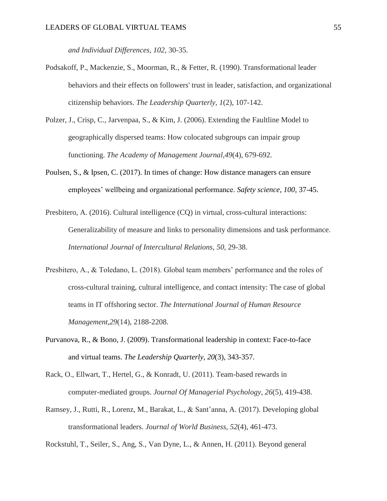*and Individual Differences, 102*, 30-35.

- Podsakoff, P., Mackenzie, S., Moorman, R., & Fetter, R. (1990). Transformational leader behaviors and their effects on followers' trust in leader, satisfaction, and organizational citizenship behaviors. *The Leadership Quarterly, 1*(2), 107-142.
- Polzer, J., Crisp, C., Jarvenpaa, S., & Kim, J. (2006). Extending the Faultline Model to geographically dispersed teams: How colocated subgroups can impair group functioning. *The Academy of Management Journal,49*(4), 679-692.
- Poulsen, S., & Ipsen, C. (2017). In times of change: How distance managers can ensure employees' wellbeing and organizational performance. *Safety science*, *100*, 37-45.
- Presbitero, A. (2016). Cultural intelligence (CQ) in virtual, cross-cultural interactions: Generalizability of measure and links to personality dimensions and task performance. *International Journal of Intercultural Relations, 50*, 29-38.
- Presbitero, A., & Toledano, L. (2018). Global team members' performance and the roles of cross-cultural training, cultural intelligence, and contact intensity: The case of global teams in IT offshoring sector. *The International Journal of Human Resource Management,29*(14), 2188-2208.
- Purvanova, R., & Bono, J. (2009). Transformational leadership in context: Face-to-face and virtual teams. *The Leadership Quarterly*, *20*(3), 343-357.
- Rack, O., Ellwart, T., Hertel, G., & Konradt, U. (2011). Team-based rewards in computer-mediated groups. *Journal Of Managerial Psychology, 26*(5), 419-438.
- Ramsey, J., Rutti, R., Lorenz, M., Barakat, L., & Sant'anna, A. (2017). Developing global transformational leaders. *Journal of World Business, 52*(4), 461-473.

Rockstuhl, T., Seiler, S., Ang, S., Van Dyne, L., & Annen, H. (2011). Beyond general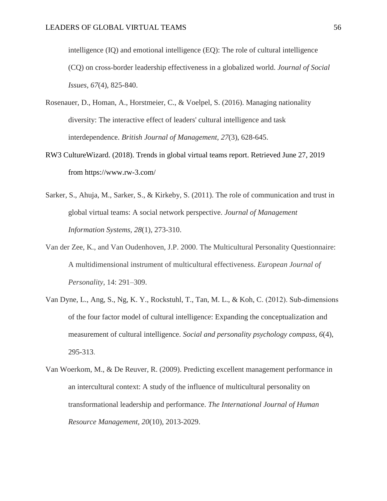intelligence (IQ) and emotional intelligence (EQ): The role of cultural intelligence (CQ) on cross‐border leadership effectiveness in a globalized world. *Journal of Social Issues, 67*(4), 825-840.

- Rosenauer, D., Homan, A., Horstmeier, C., & Voelpel, S. (2016). Managing nationality diversity: The interactive effect of leaders' cultural intelligence and task interdependence. *British Journal of Management, 27*(3), 628-645.
- RW3 CultureWizard. (2018). Trends in global virtual teams report. Retrieved June 27, 2019 from https://www.rw-3.com/
- Sarker, S., Ahuja, M., Sarker, S., & Kirkeby, S. (2011). The role of communication and trust in global virtual teams: A social network perspective. *Journal of Management Information Systems, 28*(1), 273-310.
- Van der Zee, K., and Van Oudenhoven, J.P. 2000. The Multicultural Personality Questionnaire: A multidimensional instrument of multicultural effectiveness. *European Journal of Personality*, 14: 291–309.
- Van Dyne, L., Ang, S., Ng, K. Y., Rockstuhl, T., Tan, M. L., & Koh, C. (2012). Sub‐dimensions of the four factor model of cultural intelligence: Expanding the conceptualization and measurement of cultural intelligence. *Social and personality psychology compass*, *6*(4), 295-313.
- Van Woerkom, M., & De Reuver, R. (2009). Predicting excellent management performance in an intercultural context: A study of the influence of multicultural personality on transformational leadership and performance. *The International Journal of Human Resource Management, 20*(10), 2013-2029.